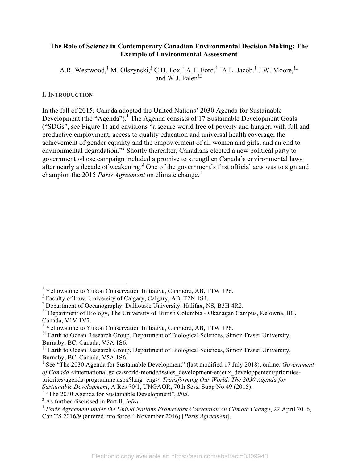### **The Role of Science in Contemporary Canadian Environmental Decision Making: The Example of Environmental Assessment**

A.R. Westwood,† M. Olszynski,‡ C.H. Fox,\* A.T. Ford,†† A.L. Jacob,† J.W. Moore,‡‡ and W. J. Palen $\ddagger$  $\ddagger$ 

## **I. INTRODUCTION**

In the fall of 2015, Canada adopted the United Nations' 2030 Agenda for Sustainable Development (the "Agenda").<sup>1</sup> The Agenda consists of 17 Sustainable Development Goals ("SDGs", see Figure 1) and envisions "a secure world free of poverty and hunger, with full and productive employment, access to quality education and universal health coverage, the achievement of gender equality and the empowerment of all women and girls, and an end to environmental degradation."<sup>2</sup> Shortly thereafter, Canadians elected a new political party to government whose campaign included a promise to strengthen Canada's environmental laws after nearly a decade of weakening.<sup>3</sup> One of the government's first official acts was to sign and champion the 2015 *Paris Agreement* on climate change.<sup>4</sup>

 <sup>†</sup> <sup>†</sup> Yellowstone to Yukon Conservation Initiative, Canmore, AB, T1W 1P6.

<sup>‡</sup> Faculty of Law, University of Calgary, Calgary, AB, T2N 1S4.

<sup>\*</sup> Department of Oceanography, Dalhousie University, Halifax, NS, B3H 4R2.

<sup>&</sup>lt;sup>††</sup> Department of Biology, The University of British Columbia - Okanagan Campus, Kelowna, BC, Canada, V1V 1V7.

<sup>†</sup> Yellowstone to Yukon Conservation Initiative, Canmore, AB, T1W 1P6.

<sup>&</sup>lt;sup>‡‡</sup> Earth to Ocean Research Group, Department of Biological Sciences, Simon Fraser University, Burnaby, BC, Canada, V5A 1S6.

<sup>&</sup>lt;sup>##</sup> Earth to Ocean Research Group, Department of Biological Sciences, Simon Fraser University, Burnaby, BC, Canada, V5A 1S6.

<sup>1</sup> See "The 2030 Agenda for Sustainable Development" (last modified 17 July 2018), online: *Government of Canada* <international.gc.ca/world-monde/issues\_development-enjeux\_developpement/prioritiespriorites/agenda-programme.aspx?lang=eng>; *Transforming Our World: The 2030 Agenda for Sustainable Development*, A Res 70/1, UNGAOR, 70th Sess, Supp No 49 (2015).

<sup>&</sup>lt;sup>2</sup> "The 2030 Agenda for Sustainable Development", *ibid*.<br><sup>3</sup> As further discussed in Part II, *infra*.

*Paris Agreement under the United Nations Framework Convention on Climate Change*, 22 April 2016, Can TS 2016/9 (entered into force 4 November 2016) [*Paris Agreement*].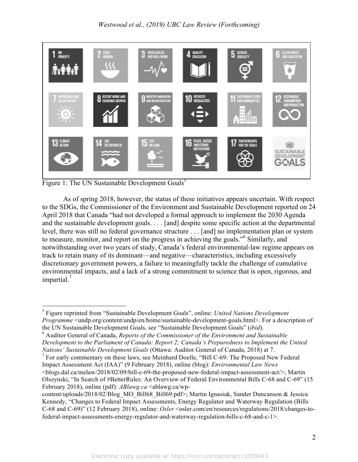

Figure 1: The UN Sustainable Development  $Goals^5$ 

As of spring 2018, however, the status of these initiatives appears uncertain. With respect to the SDGs, the Commissioner of the Environment and Sustainable Development reported on 24 April 2018 that Canada "had not developed a formal approach to implement the 2030 Agenda and the sustainable development goals. . . . [and] despite some specific action at the departmental level, there was still no federal governance structure . . . [and] no implementation plan or system to measure, monitor, and report on the progress in achieving the goals." <sup>6</sup> Similarly, and notwithstanding over two years of study, Canada's federal environmental-law regime appears on track to retain many of its dominant—and negative—characteristics, including excessively discretionary government powers, a failure to meaningfully tackle the challenge of cumulative environmental impacts, and a lack of a strong commitment to science that is open, rigorous, and impartial.<sup>7</sup>

<sup>6</sup> Auditor General of Canada, *Reports of the Commissioner of the Environment and Sustainable Development to the Parliament of Canada: Report 2; Canada's Preparedness to Implement the United Nations' Sustainable Development Goals* (Ottawa: Auditor General of Canada, 2018) at 7.

 $7$  For early commentary on these laws, see Meinhard Doelle, "Bill C-69: The Proposed New Federal Impact Assessment Act (IAA)" (9 February 2018), online (blog): *Environmental Law News*  <blogs.dal.ca/melaw/2018/02/09/bill-c-69-the-proposed-new-federal-impact-assessment-act/>; Martin Olszynski, "In Search of #BetterRules: An Overview of Federal Environmental Bills C-68 and C-69" (15

February 2018), online (pdf): *ABlawg.ca* <ablawg.ca/wp-

 <sup>5</sup> Figure reprinted from "Sustainable Development Goals", online: *United Nations Development Programme* <undp.org/content/undp/en/home/sustainable-development-goals.html>. For a description of the UN Sustainable Development Goals, see "Sustainable Development Goals" (*ibid*).

content/uploads/2018/02/Blog\_MO\_Bill68\_Bill69.pdf>; Martin Ignasiak, Sander Duncanson & Jessica Kennedy, "Changes to Federal Impact Assessments, Energy Regulator and Waterway Regulation (Bills C-68 and C-69)" (12 February 2018), online: *Osler* <osler.com/en/resources/regulations/2018/changes-tofederal-impact-assessments-energy-regulator-and-waterway-regulation-bills-c-68-and-c-1>.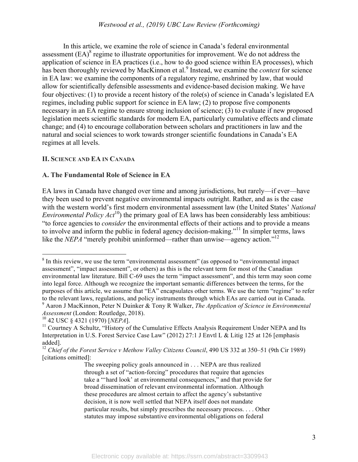### *Westwood et al., (2019) UBC Law Review (Forthcoming)*

In this article, we examine the role of science in Canada's federal environmental assessment  $(EA)^8$  regime to illustrate opportunities for improvement. We do not address the application of science in EA practices (i.e., how to do good science within EA processes), which has been thoroughly reviewed by MacKinnon et al. <sup>9</sup> Instead, we examine the *context* for science in EA law: we examine the components of a regulatory regime, enshrined by law, that would allow for scientifically defensible assessments and evidence-based decision making. We have four objectives: (1) to provide a recent history of the role(s) of science in Canada's legislated EA regimes, including public support for science in EA law; (2) to propose five components necessary in an EA regime to ensure strong inclusion of science; (3) to evaluate if new proposed legislation meets scientific standards for modern EA, particularly cumulative effects and climate change; and (4) to encourage collaboration between scholars and practitioners in law and the natural and social sciences to work towards stronger scientific foundations in Canada's EA regimes at all levels.

#### **II. SCIENCE AND EA IN CANADA**

#### **A. The Fundamental Role of Science in EA**

EA laws in Canada have changed over time and among jurisdictions, but rarely—if ever—have they been used to prevent negative environmental impacts outright. Rather, and as is the case with the western world's first modern environmental assessment law (the United States' *National Environmental Policy Act*<sup>10</sup>) the primary goal of EA laws has been considerably less ambitious: "to force agencies to *consider* the environmental effects of their actions and to provide a means to involve and inform the public in federal agency decision-making."<sup>11</sup> In simpler terms, laws like the *NEPA* "merely prohibit uninformed—rather than unwise—agency action."<sup>12</sup>

 <sup>8</sup>  $8$  In this review, we use the term "environmental assessment" (as opposed to "environmental impact") assessment", "impact assessment", or others) as this is the relevant term for most of the Canadian environmental law literature. Bill C-69 uses the term "impact assessment", and this term may soon come into legal force. Although we recognize the important semantic differences between the terms, for the purposes of this article, we assume that "EA" encapsulates other terms. We use the term "regime" to refer to the relevant laws, regulations, and policy instruments through which EAs are carried out in Canada. <sup>9</sup> Aaron J MacKinnon, Peter N Duinker & Tony R Walker, *The Application of Science in Environmental Assessment* (London: Routledge, 2018).

<sup>10</sup> 42 USC § 4321 (1970) [*NEPA*].

<sup>&</sup>lt;sup>11</sup> Courtney A Schultz, "History of the Cumulative Effects Analysis Requirement Under NEPA and Its Interpretation in U.S. Forest Service Case Law" (2012) 27:1 J Envtl L & Litig 125 at 126 [emphasis added].

<sup>&</sup>lt;sup>12</sup> *Chief of the Forest Service v Methow Valley Citizens Council*, 490 US 332 at 350–51 (9th Cir 1989) [citations omitted]:

The sweeping policy goals announced in . . . NEPA are thus realized through a set of "action-forcing" procedures that require that agencies take a "'hard look' at environmental consequences," and that provide for broad dissemination of relevant environmental information. Although these procedures are almost certain to affect the agency's substantive decision, it is now well settled that NEPA itself does not mandate particular results, but simply prescribes the necessary process. . . . Other statutes may impose substantive environmental obligations on federal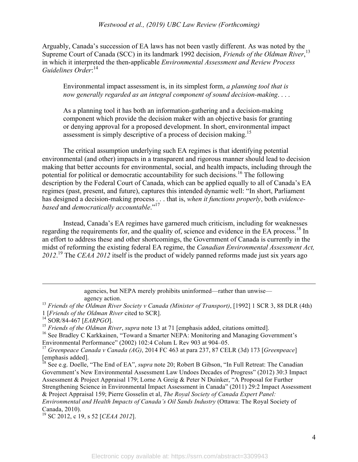Arguably, Canada's succession of EA laws has not been vastly different. As was noted by the Supreme Court of Canada (SCC) in its landmark 1992 decision, *Friends of the Oldman River*, 13 in which it interpreted the then-applicable *Environmental Assessment and Review Process Guidelines Order*: 14

Environmental impact assessment is, in its simplest form, *a planning tool that is now generally regarded as an integral component of sound decision-making*. . . .

As a planning tool it has both an information-gathering and a decision-making component which provide the decision maker with an objective basis for granting or denying approval for a proposed development. In short, environmental impact assessment is simply descriptive of a process of decision making.<sup>15</sup>

The critical assumption underlying such EA regimes is that identifying potential environmental (and other) impacts in a transparent and rigorous manner should lead to decision making that better accounts for environmental, social, and health impacts, including through the potential for political or democratic accountability for such decisions. 16 The following description by the Federal Court of Canada, which can be applied equally to all of Canada's EA regimes (past, present, and future), captures this intended dynamic well: "In short, Parliament has designed a decision-making process . . . that is, *when it functions properly*, both *evidencebased* and *democratically accountable*." 17

Instead, Canada's EA regimes have garnered much criticism, including for weaknesses regarding the requirements for, and the quality of, science and evidence in the EA process.<sup>18</sup> In an effort to address these and other shortcomings, the Government of Canada is currently in the midst of reforming the existing federal EA regime, the *Canadian Environmental Assessment Act, 2012*. <sup>19</sup> The *CEAA 2012* itself is the product of widely panned reforms made just six years ago

> agencies, but NEPA merely prohibits uninformed—rather than unwise agency action.

 $\overline{a}$ 

<sup>16</sup> See Bradley C Karkkainen, "Toward a Smarter NEPA: Monitoring and Managing Government's Environmental Performance" (2002) 102:4 Colum L Rev 903 at 904–05.

<sup>18</sup> See e.g. Doelle, "The End of EA", *supra* note 20; Robert B Gibson, "In Full Retreat: The Canadian Government's New Environmental Assessment Law Undoes Decades of Progress" (2012) 30:3 Impact Assessment & Project Appraisal 179; Lorne A Greig & Peter N Duinker, "A Proposal for Further Strengthening Science in Environmental Impact Assessment in Canada" (2011) 29:2 Impact Assessment & Project Appraisal 159; Pierre Gosselin et al, *The Royal Society of Canada Expert Panel: Environmental and Health Impacts of Canada's Oil Sands Industry* (Ottawa: The Royal Society of Canada, 2010).

19 SC 2012, c 19, s 52 [*CEAA 2012*].

<sup>13</sup> *Friends of the Oldman River Society v Canada (Minister of Transport)*, [1992] 1 SCR 3, 88 DLR (4th) 1 [*Friends of the Oldman River* cited to SCR].

<sup>14</sup> SOR/84-467 [*EARPGO*].

<sup>15</sup> *Friends of the Oldman River*, *supra* note 13 at 71 [emphasis added, citations omitted].

<sup>17</sup> *Greenpeace Canada v Canada (AG)*, 2014 FC 463 at para 237, 87 CELR (3d) 173 [*Greenpeace*] [emphasis added].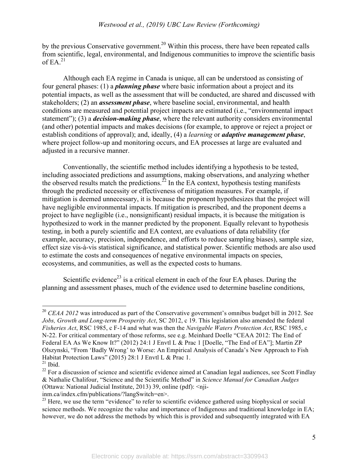by the previous Conservative government.<sup>20</sup> Within this process, there have been repeated calls from scientific, legal, environmental, and Indigenous communities to improve the scientific basis of EA. $^{21}$ 

Although each EA regime in Canada is unique, all can be understood as consisting of four general phases: (1) a *planning phase* where basic information about a project and its potential impacts, as well as the assessment that will be conducted, are shared and discussed with stakeholders; (2) an *assessment phase*, where baseline social, environmental, and health conditions are measured and potential project impacts are estimated (i.e., "environmental impact statement"); (3) a *decision-making phase*, where the relevant authority considers environmental (and other) potential impacts and makes decisions (for example, to approve or reject a project or establish conditions of approval); and, ideally, (4) a *learning* or *adaptive management phase*, where project follow-up and monitoring occurs, and EA processes at large are evaluated and adjusted in a recursive manner.

Conventionally, the scientific method includes identifying a hypothesis to be tested, including associated predictions and assumptions, making observations, and analyzing whether the observed results match the predictions.<sup>22</sup> In the EA context, hypothesis testing manifests through the predicted necessity or effectiveness of mitigation measures. For example, if mitigation is deemed unnecessary, it is because the proponent hypothesizes that the project will have negligible environmental impacts. If mitigation is prescribed, and the proponent deems a project to have negligible (i.e., nonsignificant) residual impacts, it is because the mitigation is hypothesized to work in the manner predicted by the proponent. Equally relevant to hypothesis testing, in both a purely scientific and EA context, are evaluations of data reliability (for example, accuracy, precision, independence, and efforts to reduce sampling biases), sample size, effect size vis-à-vis statistical significance, and statistical power. Scientific methods are also used to estimate the costs and consequences of negative environmental impacts on species, ecosystems, and communities, as well as the expected costs to humans.

Scientific evidence<sup>23</sup> is a critical element in each of the four EA phases. During the planning and assessment phases, much of the evidence used to determine baseline conditions,

<sup>&</sup>lt;sup>20</sup> *CEAA 2012* was introduced as part of the Conservative government's omnibus budget bill in 2012. See *Jobs, Growth and Long-term Prosperity Act*, SC 2012, c 19. This legislation also amended the federal *Fisheries Act*, RSC 1985, c F-14 and what was then the *Navigable Waters Protection Act*, RSC 1985, c N-22. For critical commentary of those reforms, see e.g. Meinhard Doelle "CEAA 2012: The End of Federal EA As We Know It?" (2012) 24:1 J Envtl L & Prac 1 [Doelle, "The End of EA"]; Martin ZP Olszynski, "From 'Badly Wrong' to Worse: An Empirical Analysis of Canada's New Approach to Fish Habitat Protection Laws" (2015) 28:1 J Envtl L & Prac 1.

 $21$  Ibid.

 $22$  For a discussion of science and scientific evidence aimed at Canadian legal audiences, see Scott Findlay & Nathalie Chalifour, "Science and the Scientific Method" in *Science Manual for Canadian Judges* (Ottawa: National Judicial Institute, 2013) 39, online (pdf):  $\langle$ nji-

inm.ca/index.cfm/publications/?langSwitch=en>.

<sup>&</sup>lt;sup>23</sup> Here, we use the term "evidence" to refer to scientific evidence gathered using biophysical or social science methods. We recognize the value and importance of Indigenous and traditional knowledge in EA; however, we do not address the methods by which this is provided and subsequently integrated with EA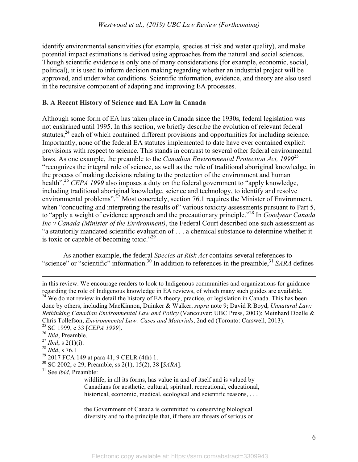identify environmental sensitivities (for example, species at risk and water quality), and make potential impact estimations is derived using approaches from the natural and social sciences. Though scientific evidence is only one of many considerations (for example, economic, social, political), it is used to inform decision making regarding whether an industrial project will be approved, and under what conditions. Scientific information, evidence, and theory are also used in the recursive component of adapting and improving EA processes.

## **B. A Recent History of Science and EA Law in Canada**

Although some form of EA has taken place in Canada since the 1930s, federal legislation was not enshrined until 1995. In this section, we briefly describe the evolution of relevant federal statutes, $24$  each of which contained different provisions and opportunities for including science. Importantly, none of the federal EA statutes implemented to date have ever contained explicit provisions with respect to science. This stands in contrast to several other federal environmental laws. As one example, the preamble to the *Canadian Environmental Protection Act, 1999*<sup>25</sup> "recognizes the integral role of science, as well as the role of traditional aboriginal knowledge, in the process of making decisions relating to the protection of the environment and human health"<sup>26</sup> *CEPA 1999* also imposes a duty on the federal government to "apply knowledge, including traditional aboriginal knowledge, science and technology, to identify and resolve environmental problems".<sup>27</sup> Most concretely, section 76.1 requires the Minister of Environment, when "conducting and interpreting the results of" various toxicity assessments pursuant to Part 5, to "apply a weight of evidence approach and the precautionary principle." <sup>28</sup> In *Goodyear Canada Inc v Canada (Minister of the Environment)*, the Federal Court described one such assessment as "a statutorily mandated scientific evaluation of . . . a chemical substance to determine whether it is toxic or capable of becoming toxic."<sup>29</sup>

As another example, the federal *Species at Risk Act* contains several references to "science" or "scientific" information.<sup>30</sup> In addition to references in the preamble,<sup>31</sup> *SARA* defines

<sup>28</sup> *Ibid*, s 76.1

 $\overline{a}$ 

- 30 SC 2002, c 29, Preamble, ss 2(1), 15(2), 38 [*SARA*].
- 31 See *ibid*, Preamble:

wildlife, in all its forms, has value in and of itself and is valued by Canadians for aesthetic, cultural, spiritual, recreational, educational, historical, economic, medical, ecological and scientific reasons, ...

the Government of Canada is committed to conserving biological diversity and to the principle that, if there are threats of serious or

in this review. We encourage readers to look to Indigenous communities and organizations for guidance regarding the role of Indigenous knowledge in EA reviews, of which many such guides are available.

<sup>&</sup>lt;sup>24</sup> We do not review in detail the history of EA theory, practice, or legislation in Canada. This has been done by others, including MacKinnon, Duinker & Walker, *supra* note 9; David R Boyd, *Unnatural Law: Rethinking Canadian Environmental Law and Policy* (Vancouver: UBC Press, 2003); Meinhard Doelle & Chris Tollefson, *Environmental Law: Cases and Materials*, 2nd ed (Toronto: Carswell, 2013). 25 SC 1999, c 33 [*CEPA 1999*].

<sup>26</sup> *Ibid*, Preamble.

<sup>27</sup> *Ibid*, s 2(1)(i).

 $^{29}$  2017 FCA 149 at para 41, 9 CELR (4th) 1.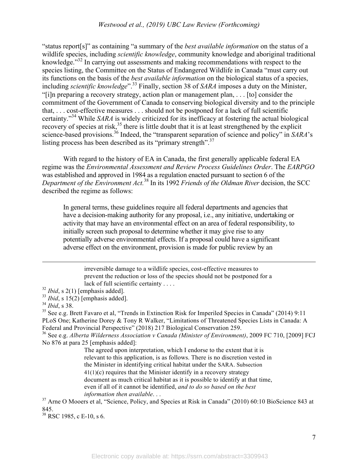"status report[s]" as containing "a summary of the *best available information* on the status of a wildlife species, including *scientific knowledge*, community knowledge and aboriginal traditional knowledge.<sup>33</sup> In carrying out assessments and making recommendations with respect to the species listing, the Committee on the Status of Endangered Wildlife in Canada "must carry out its functions on the basis of the *best available information* on the biological status of a species, including *scientific knowledge*".<sup>33</sup> Finally, section 38 of *SARA* imposes a duty on the Minister, "[i]n preparing a recovery strategy, action plan or management plan, . . . [to] consider the commitment of the Government of Canada to conserving biological diversity and to the principle that, . . . cost-effective measures . . . should not be postponed for a lack of full scientific certainty." <sup>34</sup> While *SARA* is widely criticized for its inefficacy at fostering the actual biological recovery of species at risk,<sup>35</sup> there is little doubt that it is at least strengthened by the explicit science-based provisions.<sup>36</sup> Indeed, the "transparent separation of science and policy" in *SARA*'s listing process has been described as its "primary strength".<sup>37</sup>

With regard to the history of EA in Canada, the first generally applicable federal EA regime was the *Environmental Assessment and Review Process Guidelines Order*. The *EARPGO* was established and approved in 1984 as a regulation enacted pursuant to section 6 of the *Department of the Environment Act.* <sup>38</sup> In its 1992 *Friends of the Oldman River* decision, the SCC described the regime as follows:

In general terms, these guidelines require all federal departments and agencies that have a decision-making authority for any proposal, i.e., any initiative, undertaking or activity that may have an environmental effect on an area of federal responsibility, to initially screen such proposal to determine whether it may give rise to any potentially adverse environmental effects. If a proposal could have a significant adverse effect on the environment, provision is made for public review by an

irreversible damage to a wildlife species, cost-effective measures to prevent the reduction or loss of the species should not be postponed for a lack of full scientific certainty . . . .

 $\overline{a}$ 

35 See e.g. Brett Favaro et al, "Trends in Extinction Risk for Imperiled Species in Canada" (2014) 9:11 PLoS One; Katherine Dorey & Tony R Walker, "Limitations of Threatened Species Lists in Canada: A Federal and Provincial Perspective" (2018) 217 Biological Conservation 259.

36 See e.g. *Alberta Wilderness Association v Canada (Minister of Environment)*, 2009 FC 710, [2009] FCJ No 876 at para 25 [emphasis added]:

The agreed upon interpretation, which I endorse to the extent that it is relevant to this application, is as follows. There is no discretion vested in the Minister in identifying critical habitat under the SARA. Subsection  $41(1)(c)$  requires that the Minister identify in a recovery strategy document as much critical habitat as it is possible to identify at that time, even if all of it cannot be identified, *and to do so based on the best* 

*information then available.* . .<br><sup>37</sup> Arne O Mooers et al, "Science, Policy, and Species at Risk in Canada" (2010) 60:10 BioScience 843 at 845.

<sup>38</sup> RSC 1985, c E-10, s 6.

 $32$  *Ibid*, s 2(1) [emphasis added].

<sup>&</sup>lt;sup>33</sup> *Ibid*, s 15(2) [emphasis added].

<sup>34</sup> *Ibid*, s 38.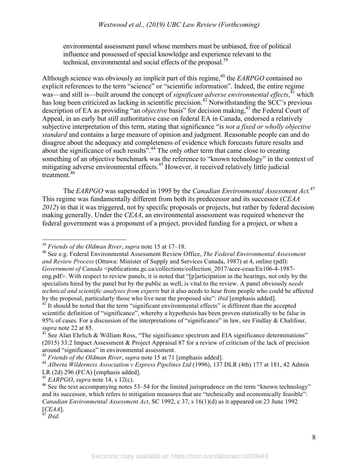environmental assessment panel whose members must be unbiased, free of political influence and possessed of special knowledge and experience relevant to the technical, environmental and social effects of the proposal.<sup>39</sup>

Although science was obviously an implicit part of this regime, <sup>40</sup> the *EARPGO* contained no explicit references to the term "science" or "scientific information". Indeed, the entire regime was—and still is—built around the concept of *significant adverse environmental effects*,<sup>41</sup> which has long been criticized as lacking in scientific precision.<sup>42</sup> Notwithstanding the SCC's previous description of EA as providing "an *objective* basis" for decision making,<sup>43</sup> the Federal Court of Appeal, in an early but still authoritative case on federal EA in Canada, endorsed a relatively subjective interpretation of this term, stating that significance "is *not a fixed or wholly objective standard* and contains a large measure of opinion and judgment. Reasonable people can and do disagree about the adequacy and completeness of evidence which forecasts future results and about the significance of such results".<sup>44</sup> The only other term that came close to creating something of an objective benchmark was the reference to "known technology" in the context of mitigating adverse environmental effects. <sup>45</sup> However, it received relatively little judicial treatment. 46

The *EARPGO* was superseded in 1995 by the *Canadian Environmental Assessment Act.* 47 This regime was fundamentally different from both its predecessor and its successor (*CEAA 2012*) in that it was triggered, not by specific proposals or projects, but rather by federal decision making generally. Under the *CEAA*, an environmental assessment was required whenever the federal government was a proponent of a project, provided funding for a project, or when a

 <sup>39</sup> *Friends of the Oldman River*, *supra* note 15 at 17–18.

<sup>40</sup> See e.g. Federal Environmental Assessment Review Office, *The Federal Environmental Assessment and Review Process* (Ottawa: Minister of Supply and Services Canada, 1987) at 4, online (pdf): *Government of Canada* <publications.gc.ca/collections/collection 2017/acee-ceaa/En106-4-1987eng.pdf>. With respect to review panels, it is noted that "[p]articipation in the hearings, not only by the specialists hired by the panel but by the public as well, is vital to the review. A panel obviously *needs technical and scientific analyses from experts* but it also needs to hear from people who could be affected by the proposal, particularly those who live near the proposed site": *ibid* [emphasis added].<br><sup>41</sup> It should be noted that the term "significant environmental effects" is different than the accepted

scientific definition of "significance", whereby a hypothesis has been proven statistically to be false in 95% of cases. For a discussion of the interpretations of "significance" in law, see Findlay & Chalifour, *supra* note 22 at 85.

 $42$  See Alan Ehrlich & William Ross, "The significance spectrum and EIA significance determinations" (2015) 33:2 Impact Assessment & Project Appraisal 87 for a review of criticism of the lack of precision around "significance" in environmental assessment.

<sup>43</sup> *Friends of the Oldman River*, *supra* note 15 at 71 [emphasis added].

<sup>44</sup> *Alberta Wilderness Association v Express Pipelines Ltd* (1996), 137 DLR (4th) 177 at 181, 42 Admin LR (2d) 296 (FCA) [emphasis added].

<sup>45</sup> *EARPGO*, *supra* note 14, s 12(c).

<sup>&</sup>lt;sup>46</sup> See the text accompanying notes 53–54 for the limited jurisprudence on the term "known technology" and its successor, which refers to mitigation measures that are "technically and economically feasible": *Canadian Environmental Assessment Act*, SC 1992, c 37, s 16(1)(d) as it appeared on 23 June 1992 [*CEAA*].

<sup>47</sup> *Ibid*.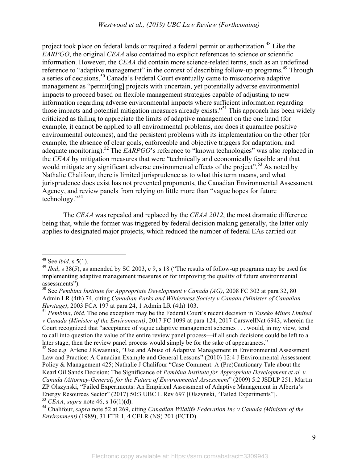project took place on federal lands or required a federal permit or authorization.<sup>48</sup> Like the *EARPGO*, the original *CEAA* also contained no explicit references to science or scientific information. However, the *CEAA* did contain more science-related terms, such as an undefined reference to "adaptive management" in the context of describing follow-up programs.<sup>49</sup> Through a series of decisions,<sup>50</sup> Canada's Federal Court eventually came to misconceive adaptive management as "permit[ting] projects with uncertain, yet potentially adverse environmental impacts to proceed based on flexible management strategies capable of adjusting to new information regarding adverse environmental impacts where sufficient information regarding those impacts and potential mitigation measures already exists." <sup>51</sup> This approach has been widely criticized as failing to appreciate the limits of adaptive management on the one hand (for example, it cannot be applied to all environmental problems, nor does it guarantee positive environmental outcomes), and the persistent problems with its implementation on the other (for example, the absence of clear goals, enforceable and objective triggers for adaptation, and adequate monitoring).<sup>52</sup> The *EARPGO*'s reference to "known technologies" was also replaced in the *CEAA* by mitigation measures that were "technically and economically feasible and that would mitigate any significant adverse environmental effects of the project".<sup>53</sup> As noted by Nathalie Chalifour, there is limited jurisprudence as to what this term means, and what jurisprudence does exist has not prevented proponents, the Canadian Environmental Assessment Agency, and review panels from relying on little more than "vague hopes for future technology." 54

The *CEAA* was repealed and replaced by the *CEAA 2012*, the most dramatic difference being that, while the former was triggered by federal decision making generally, the latter only applies to designated major projects, which reduced the number of federal EAs carried out

 <sup>48</sup> See *ibid*, s 5(1).

<sup>49</sup> *Ibid*, s 38(5), as amended by SC 2003, c 9, s 18 ("The results of follow-up programs may be used for implementing adaptive management measures or for improving the quality of future environmental assessments").

<sup>50</sup> See *Pembina Institute for Appropriate Development v Canada (AG)*, 2008 FC 302 at para 32, 80 Admin LR (4th) 74, citing *Canadian Parks and Wilderness Society v Canada (Minister of Canadian Heritage)*, 2003 FCA 197 at para 24, 1 Admin LR (4th) 103.<br><sup>51</sup> *Pembina, ibid.* The one exception may be the Federal Court's recent decision in *Taseko Mines Limited* 

*v Canada (Minister of the Environment)*, 2017 FC 1099 at para 124, 2017 CarswellNat 6943, wherein the Court recognized that "acceptance of vague adaptive management schemes . . . would, in my view, tend to call into question the value of the entire review panel process—if all such decisions could be left to a later stage, then the review panel process would simply be for the sake of appearances."

<sup>&</sup>lt;sup>52</sup> See e.g. Arlene J Kwasniak, "Use and Abuse of Adaptive Management in Environmental Assessment Law and Practice: A Canadian Example and General Lessons" (2010) 12:4 J Environmental Assessment Policy & Management 425; Nathalie J Chalifour "Case Comment: A (Pre)Cautionary Tale about the Kearl Oil Sands Decision; The Significance of *Pembina Institute for Appropriate Development et al. v. Canada (Attorney-General) for the Future of Environmental Assessment*" (2009) 5:2 JSDLP 251; Martin ZP Olszynski, "Failed Experiments: An Empirical Assessment of Adaptive Management in Alberta's Energy Resources Sector" (2017) 50:3 UBC L Rev 697 [Olszynski, "Failed Experiments"]. <sup>53</sup> *CEAA*, *supra* note 46, s 16(1)(d).

<sup>54</sup> Chalifour, *supra* note 52 at 269, citing *Canadian Wildlife Federation Inc v Canada (Minister of the Environment)* (1989), 31 FTR 1, 4 CELR (NS) 201 (FCTD).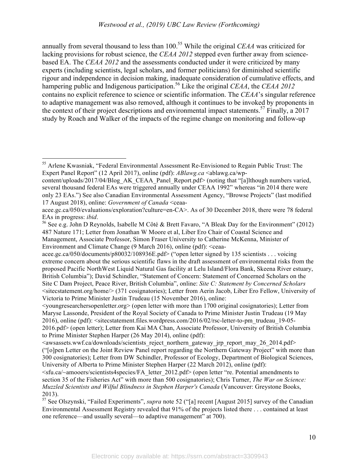annually from several thousand to less than 100. <sup>55</sup> While the original *CEAA* was criticized for lacking provisions for robust science, the *CEAA 2012* stepped even further away from sciencebased EA. The *CEAA 2012* and the assessments conducted under it were criticized by many experts (including scientists, legal scholars, and former politicians) for diminished scientific rigour and independence in decision making, inadequate consideration of cumulative effects, and hampering public and Indigenous participation.<sup>56</sup> Like the original *CEAA*, the *CEAA* 2012 contains no explicit reference to science or scientific information. The *CEAA*'s singular reference to adaptive management was also removed, although it continues to be invoked by proponents in the context of their project descriptions and environmental impact statements. <sup>57</sup> Finally, a 2017 study by Roach and Walker of the impacts of the regime change on monitoring and follow-up

 <sup>55</sup> Arlene Kwasniak, "Federal Environmental Assessment Re-Envisioned to Regain Public Trust: The Expert Panel Report" (12 April 2017), online (pdf): *ABlawg.ca* <ablawg.ca/wp-

content/uploads/2017/04/Blog\_AK\_CEAA\_Panel\_Report.pdf> (noting that "[a]lthough numbers varied, several thousand federal EAs were triggered annually under CEAA 1992" whereas "in 2014 there were only 23 EAs.") See also Canadian Environmental Assessment Agency, "Browse Projects" (last modified 17 August 2018), online: *Government of Canada* <ceaa-

acee.gc.ca/050/evaluations/exploration?culture=en-CA>. As of 30 December 2018, there were 78 federal

EAs in progress: *ibid*.<br><sup>56</sup> See e.g. John D Reynolds, Isabelle M Côté & Brett Favaro, "A Bleak Day for the Environment" (2012) 487 Nature 171; Letter from Jonathan W Moore et al, Liber Ero Chair of Coastal Science and Management, Associate Professor, Simon Fraser University to Catherine McKenna, Minister of Environment and Climate Change (9 March 2016), online (pdf): <ceaa-

acee.gc.ca/050/documents/p80032/108936E.pdf> ("open letter signed by 135 scientists . . . voicing extreme concern about the serious scientific flaws in the draft assessment of environmental risks from the proposed Pacific NorthWest Liquid Natural Gas facility at Lelu Island/Flora Bank, Skeena River estuary, British Columbia"); David Schindler, "Statement of Concern: Statement of Concerned Scholars on the Site C Dam Project, Peace River, British Columbia", online: *Site C: Statement by Concerned Scholars* <sitecstatement.org/home/> (371 cosignatories); Letter from Aerin Jacob, Liber Ero Fellow, University of Victoria to Prime Minister Justin Trudeau (15 November 2016), online:

 $\le$ youngresearchersopenletter.org  $\ge$  (open letter with more than 1700 original cosignatories); Letter from Maryse Lassonde, President of the Royal Society of Canada to Prime Minister Justin Trudeau (19 May 2016), online (pdf): <sitecstatement.files.wordpress.com/2016/02/rsc-letter-to-pm\_trudeau\_19-05- 2016.pdf> (open letter); Letter from Kai MA Chan, Associate Professor, University of British Columbia to Prime Minister Stephen Harper (26 May 2014), online (pdf):

 $\le$ awsassets.wwf.ca/downloads/scientists\_reject\_northern\_gateway\_irp\_report\_may\_26\_2014.pdf> ("[o]pen Letter on the Joint Review Panel report regarding the Northern Gateway Project" with more than 300 cosignatories); Letter from DW Schindler, Professor of Ecology, Department of Biological Sciences, University of Alberta to Prime Minister Stephen Harper (22 March 2012), online (pdf):

<sup>&</sup>lt;sfu.ca/~amooers/scientists4species/FA\_letter\_2012.pdf> (open letter "re. Potential amendments to section 35 of the Fisheries Act" with more than 500 cosignatories); Chris Turner, *The War on Science: Muzzled Scientists and Wilful Blindness in Stephen Harper's Canada* (Vancouver: Greystone Books, 2013).

<sup>57</sup> See Olszynski, "Failed Experiments", *supra* note 52 ("[a] recent [August 2015] survey of the Canadian Environmental Assessment Registry revealed that 91% of the projects listed there . . . contained at least one reference—and usually several—to adaptive management" at 700).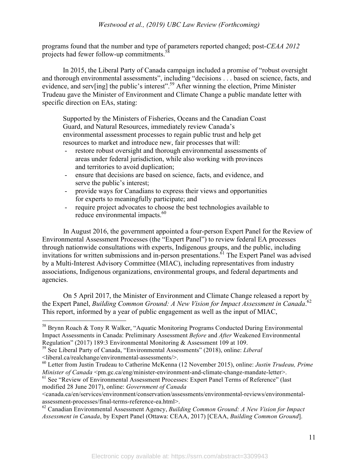programs found that the number and type of parameters reported changed; post-*CEAA 2012*  projects had fewer follow-up commitments.<sup>58</sup>

In 2015, the Liberal Party of Canada campaign included a promise of "robust oversight and thorough environmental assessments", including "decisions . . . based on science, facts, and evidence, and serv[ing] the public's interest".<sup>59</sup> After winning the election, Prime Minister Trudeau gave the Minister of Environment and Climate Change a public mandate letter with specific direction on EAs, stating:

Supported by the Ministers of Fisheries, Oceans and the Canadian Coast Guard, and Natural Resources, immediately review Canada's environmental assessment processes to regain public trust and help get resources to market and introduce new, fair processes that will:

- restore robust oversight and thorough environmental assessments of areas under federal jurisdiction, while also working with provinces and territories to avoid duplication;
- ensure that decisions are based on science, facts, and evidence, and serve the public's interest;
- provide ways for Canadians to express their views and opportunities for experts to meaningfully participate; and
- require project advocates to choose the best technologies available to reduce environmental impacts.<sup>60</sup>

In August 2016, the government appointed a four-person Expert Panel for the Review of Environmental Assessment Processes (the "Expert Panel") to review federal EA processes through nationwide consultations with experts, Indigenous groups, and the public, including invitations for written submissions and in-person presentations. 61 The Expert Panel was advised by a Multi-Interest Advisory Committee (MIAC), including representatives from industry associations, Indigenous organizations, environmental groups, and federal departments and agencies.

On 5 April 2017, the Minister of Environment and Climate Change released a report by the Expert Panel, *Building Common Ground: A New Vision for Impact Assessment in Canada*. 62 This report, informed by a year of public engagement as well as the input of MIAC,

<sup>&</sup>lt;sup>58</sup> Brynn Roach & Tony R Walker, "Aquatic Monitoring Programs Conducted During Environmental Impact Assessments in Canada: Preliminary Assessment *Before* and *After* Weakened Environmental Regulation" (2017) 189:3 Environmental Monitoring & Assessment 109 at 109. 59 See Liberal Party of Canada, "Environmental Assessments" (2018), online: *Liberal*

<sup>&</sup>lt;liberal.ca/realchange/environmental-assessments/>.

<sup>60</sup> Letter from Justin Trudeau to Catherine McKenna (12 November 2015), online: *Justin Trudeau, Prime Minister of Canada* <pm.gc.ca/eng/minister-environment-and-climate-change-mandate-letter>.

<sup>&</sup>lt;sup>61</sup> See "Review of Environmental Assessment Processes: Expert Panel Terms of Reference" (last modified 28 June 2017), online: *Government of Canada* 

<sup>&</sup>lt;canada.ca/en/services/environment/conservation/assessments/environmental-reviews/environmentalassessment-processes/final-terms-reference-ea.html>.

<sup>62</sup> Canadian Environmental Assessment Agency, *Building Common Ground: A New Vision for Impact Assessment in Canada*, by Expert Panel (Ottawa: CEAA, 2017) [CEAA, *Building Common Ground*].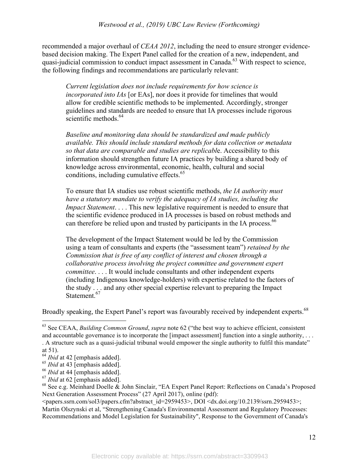recommended a major overhaul of *CEAA 2012*, including the need to ensure stronger evidencebased decision making. The Expert Panel called for the creation of a new, independent, and quasi-judicial commission to conduct impact assessment in Canada.63 With respect to science, the following findings and recommendations are particularly relevant:

*Current legislation does not include requirements for how science is incorporated into IAs* [or EAs], nor does it provide for timelines that would allow for credible scientific methods to be implemented. Accordingly, stronger guidelines and standards are needed to ensure that IA processes include rigorous scientific methods.<sup>64</sup>

*Baseline and monitoring data should be standardized and made publicly available. This should include standard methods for data collection or metadata so that data are comparable and studies are replicabl*e. Accessibility to this information should strengthen future IA practices by building a shared body of knowledge across environmental, economic, health, cultural and social conditions, including cumulative effects.<sup>65</sup>

To ensure that IA studies use robust scientific methods, *the IA authority must have a statutory mandate to verify the adequacy of IA studies, including the Impact Statement*. . . . This new legislative requirement is needed to ensure that the scientific evidence produced in IA processes is based on robust methods and can therefore be relied upon and trusted by participants in the IA process.<sup>66</sup>

The development of the Impact Statement would be led by the Commission using a team of consultants and experts (the "assessment team") *retained by the Commission that is free of any conflict of interest and chosen through a collaborative process involving the project committee and government expert committee*. . . . It would include consultants and other independent experts (including Indigenous knowledge-holders) with expertise related to the factors of the study . . . and any other special expertise relevant to preparing the Impact Statement.<sup>67</sup>

Broadly speaking, the Expert Panel's report was favourably received by independent experts.<sup>68</sup>

 <sup>63</sup> See CEAA, *Building Common Ground*, *supra* note 62 ("the best way to achieve efficient, consistent and accountable governance is to incorporate the [impact assessment] function into a single authority, ... . A structure such as a quasi-judicial tribunal would empower the single authority to fulfil this mandate"

at 51).

<sup>&</sup>lt;sup>64</sup> *Ibid* at 42 [emphasis added].

<sup>65</sup> *Ibid* at 43 [emphasis added].

<sup>66</sup> *Ibid* at 44 [emphasis added].

<sup>67</sup> *Ibid* at 62 [emphasis added].

<sup>68</sup> See e.g. Meinhard Doelle & John Sinclair, "EA Expert Panel Report: Reflections on Canada's Proposed Next Generation Assessment Process" (27 April 2017), online (pdf):

 $\epsilon$  =  $\epsilon$  =  $\epsilon$  =  $\epsilon$  =  $\epsilon$  =  $\epsilon$  =  $\epsilon$  =  $\epsilon$  =  $\epsilon$  abstract\_id=2959453>, DOI  $\epsilon$  dx.doi.org/10.2139/ssrn.2959453>; Martin Olszynski et al, "Strengthening Canada's Environmental Assessment and Regulatory Processes: Recommendations and Model Legislation for Sustainability", Response to the Government of Canada's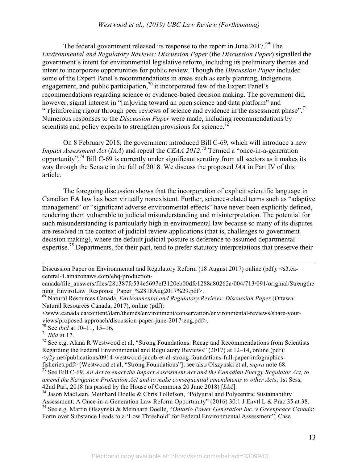The federal government released its response to the report in June 2017.<sup>69</sup> The *Environmental and Regulatory Reviews: Discussion Paper* (the *Discussion Paper*) signalled the government's intent for environmental legislative reform, including its preliminary themes and intent to incorporate opportunities for public review. Though the *Discussion Paper* included some of the Expert Panel's recommendations in areas such as early planning, Indigenous engagement, and public participation,<sup>70</sup> it incorporated few of the Expert Panel's recommendations regarding science or evidence-based decision making. The government did, however, signal interest in "[m]oving toward an open science and data platform" and "[r]einforcing rigour through peer reviews of science and evidence in the assessment phase".<sup>71</sup> Numerous responses to the *Discussion Paper* were made, including recommendations by scientists and policy experts to strengthen provisions for science.<sup>72</sup>

On 8 February 2018, the government introduced Bill C-69*,* which will introduce a new *Impact Assessment Act* (*IAA*) and repeal the *CEAA 2012*. 73 Termed a "once-in-a-generation opportunity", 74 Bill C-69 is currently under significant scrutiny from all sectors as it makes its way through the Senate in the fall of 2018. We discuss the proposed *IAA* in Part IV of this article.

The foregoing discussion shows that the incorporation of explicit scientific language in Canadian EA law has been virtually nonexistent. Further, science-related terms such as "adaptive management" or "significant adverse environmental effects" have never been explicitly defined, rendering them vulnerable to judicial misunderstanding and misinterpretation. The potential for such misunderstanding is particularly high in environmental law because so many of its disputes are resolved in the context of judicial review applications (that is, challenges to government decision making), where the default judicial posture is deference to assumed departmental expertise.<sup>75</sup> Departments, for their part, tend to prefer statutory interpretations that preserve their

70 See *ibid* at 10–11, 15–16,

<sup>71</sup> *Ibid* at 12.

 $\overline{a}$ 

Discussion Paper on Environmental and Regulatory Reform (18 August 2017) online (pdf): <s3.cacentral-1.amazonaws.com/ehq-production-

canada/file\_answers/files/28b387fc534e5697ef3120eb00dfc1288a80262a/004/713/091/original/Strengthe

ning\_EnviroLaw\_Response\_Paper\_%2818Aug2017%29.pdf>. 69 Natural Resources Canada, *Environmental and Regulatory Reviews: Discussion Paper* (Ottawa: Natural Resources Canada, 2017), online (pdf):

<sup>&</sup>lt;www.canada.ca/content/dam/themes/environment/conservation/environmental-reviews/share-yourviews/proposed-approach/discussion-paper-june-2017-eng.pdf>.

<sup>&</sup>lt;sup>72</sup> See e.g. Alana R Westwood et al, "Strong Foundations: Recap and Recommendations from Scientists Regarding the Federal Environmental and Regulatory Reviews" (2017) at 12–14, online (pdf):  $\langle v2v \rangle$  net/publications/0914-westwood-jacob-et-al-strong-foundations-full-paper-infographics-

fisheries.pdf> [Westwood et al, "Strong Foundations"]; see also Olszynski et al, *supra* note 68. 73 See Bill C-69, *An Act to enact the Impact Assessment Act and the Canadian Energy Regulator Act, to* 

*amend the Navigation Protection Act and to make consequential amendments to other Acts*, 1st Sess, 42nd Parl, 2018 (as passed by the House of Commons 20 June 2018) [*IAA*].

<sup>74</sup> Jason MacLean, Meinhard Doelle & Chris Tollefson, "Polyjural and Polycentric Sustainability Assessment: A Once-in-a-Generation Law Reform Opportunity" (2016) 30:1 J Envtl L & Prac 35 at 38. 75 See e.g. Martin Olszynski & Meinhard Doelle, "*Ontario Power Generation Inc. v Greenpeace Canada*:

Form over Substance Leads to a 'Low Threshold' for Federal Environmental Assessment", Case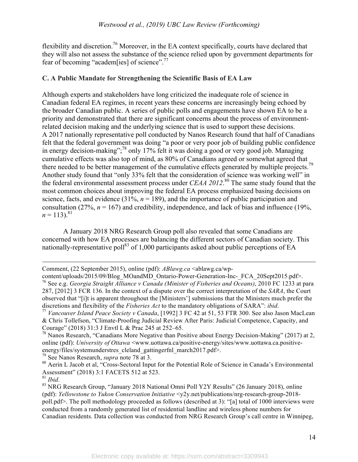flexibility and discretion.<sup>76</sup> Moreover, in the EA context specifically, courts have declared that they will also not assess the substance of the science relied upon by government departments for fear of becoming "academ[ies] of science".<sup>77</sup>

# **C. A Public Mandate for Strengthening the Scientific Basis of EA Law**

Although experts and stakeholders have long criticized the inadequate role of science in Canadian federal EA regimes, in recent years these concerns are increasingly being echoed by the broader Canadian public. A series of public polls and engagements have shown EA to be a priority and demonstrated that there are significant concerns about the process of environmentrelated decision making and the underlying science that is used to support these decisions. A 2017 nationally representative poll conducted by Nanos Research found that half of Canadians felt that the federal government was doing "a poor or very poor job of building public confidence in energy decision-making"; 78 only 17% felt it was doing a good or very good job. Managing cumulative effects was also top of mind, as 80% of Canadians agreed or somewhat agreed that there needed to be better management of the cumulative effects generated by multiple projects.<sup>79</sup> Another study found that "only 33% felt that the consideration of science was working well" in the federal environmental assessment process under *CEAA 2012*. 80 The same study found that the most common choices about improving the federal EA process emphasized basing decisions on science, facts, and evidence  $(31\%, n = 189)$ , and the importance of public participation and consultation (27%,  $n = 167$ ) and credibility, independence, and lack of bias and influence (19%,  $n = 113$ .<sup>81</sup>

A January 2018 NRG Research Group poll also revealed that some Canadians are concerned with how EA processes are balancing the different sectors of Canadian society. This nationally-representative poll<sup>83</sup> of 1,000 participants asked about public perceptions of EA

79 See Nanos Research, *supra* note 78 at 3.

 $\overline{a}$ 

Comment, (22 September 2015), online (pdf): *ABlawg.ca* <ablawg.ca/wp-

content/uploads/2015/09/Blog\_MOandMD\_Ontario-Power-Generation-Inc-\_FCA\_20Sept2015.pdf>. <sup>76</sup> See e.g. *Georgia Straight Alliance v Canada (Minister of Fisheries and Oceans)*, 2010 FC 1233 at para 287, [2012] 3 FCR 136. In the context of a dispute over the correct interpretation of the *SARA*, the Court observed that "[i]t is apparent throughout the [Ministers'] submissions that the Ministers much prefer the discretions and flexibility of the *Fisheries Act* to the mandatory obligations of SARA": *ibid*.

<sup>&</sup>lt;sup>77</sup> Vancouver Island Peace Society v Canada, [1992] 3 FC 42 at 51, 53 FTR 300. See also Jason MacLean & Chris Tollefson, "Climate-Proofing Judicial Review After Paris: Judicial Competence, Capacity, and Courage" (2018) 31:3 J Envtl L & Prac 245 at 252–65.

<sup>78</sup> Nanos Research, "Canadians More Negative than Positive about Energy Decision-Making" (2017) at 2, online (pdf): *University of Ottawa* <www.uottawa.ca/positive-energy/sites/www.uottawa.ca.positiveenergy/files/systemunderstres\_cleland\_gattingerfnl\_march2017.pdf>.

<sup>80</sup> Aerin L Jacob et al, "Cross-Sectoral Input for the Potential Role of Science in Canada's Environmental Assessment" (2018) 3:1 FACETS 512 at 523.<br><sup>81</sup> *Ihid.* 

<sup>&</sup>lt;sup>83</sup> NRG Research Group, "January 2018 National Omni Poll Y2Y Results" (26 January 2018), online (pdf): *Yellowstone to Yukon Conservation Initiative* <y2y.net/publications/nrg-research-group-2018 poll.pdf>. The poll methodology proceeded as follows (described at 3): "[a] total of 1000 interviews were conducted from a randomly generated list of residential landline and wireless phone numbers for Canadian residents. Data collection was conducted from NRG Research Group's call centre in Winnipeg,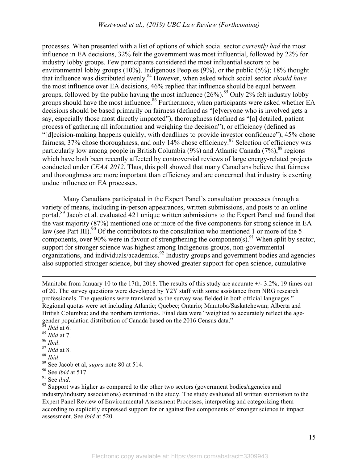processes. When presented with a list of options of which social sector *currently had* the most influence in EA decisions, 32% felt the government was most influential, followed by 22% for industry lobby groups. Few participants considered the most influential sectors to be environmental lobby groups (10%), Indigenous Peoples (9%), or the public (5%); 18% thought that influence was distributed evenly.84 However, when asked which social sector *should have*  the most influence over EA decisions, 46% replied that influence should be equal between groups, followed by the public having the most influence  $(26\%)$ .<sup>85</sup> Only 2% felt industry lobby groups should have the most influence.<sup>86</sup> Furthermore, when participants were asked whether EA decisions should be based primarily on fairness (defined as "[e]veryone who is involved gets a say, especially those most directly impacted"), thoroughness (defined as "[a] detailed, patient process of gathering all information and weighing the decision"), or efficiency (defined as "[d]ecision-making happens quickly, with deadlines to provide investor confidence"), 45% chose fairness, 37% chose thoroughness, and only 14% chose efficiency.<sup>87</sup> Selection of efficiency was particularly low among people in British Columbia (9%) and Atlantic Canada (7%),  $88$  regions which have both been recently affected by controversial reviews of large energy-related projects conducted under *CEAA 2012*. Thus, this poll showed that many Canadians believe that fairness and thoroughness are more important than efficiency and are concerned that industry is exerting undue influence on EA processes.

Many Canadians participated in the Expert Panel's consultation processes through a variety of means, including in-person appearances, written submissions, and posts to an online portal.<sup>89</sup> Jacob et al. evaluated 421 unique written submissions to the Expert Panel and found that the vast majority (87%) mentioned one or more of the five components for strong science in EA law (see Part III).<sup>90</sup> Of the contributors to the consultation who mentioned 1 or more of the 5 components, over 90% were in favour of strengthening the component(s). <sup>91</sup> When split by sector, support for stronger science was highest among Indigenous groups, non-governmental organizations, and individuals/academics.92 Industry groups and government bodies and agencies also supported stronger science, but they showed greater support for open science, cumulative

Manitoba from January 10 to the 17th, 2018. The results of this study are accurate  $+/- 3.2\%$ , 19 times out of 20. The survey questions were developed by Y2Y staff with some assistance from NRG research professionals. The questions were translated as the survey was fielded in both official languages." Regional quotas were set including Atlantic; Quebec; Ontario; Manitoba/Saskatchewan; Alberta and British Columbia; and the northern territories. Final data were "weighted to accurately reflect the agegender population distribution of Canada based on the 2016 Census data." <sup>84</sup> *Ibid* at 6.

- 
- <sup>85</sup> *Ibid* at 7.
- 

 $\overline{a}$ 

- <sup>86</sup> *Ibid*. 87 *Ibid* at 8.
- 
- <sup>88</sup> *Ibid*. 89 See Jacob et al, *supra* note 80 at 514.
- $^{90}$  See *ibid* at 517.<br><sup>91</sup> See *ibid*.
- 

<sup>92</sup> Support was higher as compared to the other two sectors (government bodies/agencies and industry/industry associations) examined in the study. The study evaluated all written submission to the Expert Panel Review of Environmental Assessment Processes, interpreting and categorizing them according to explicitly expressed support for or against five components of stronger science in impact assessment. See *ibid* at 520.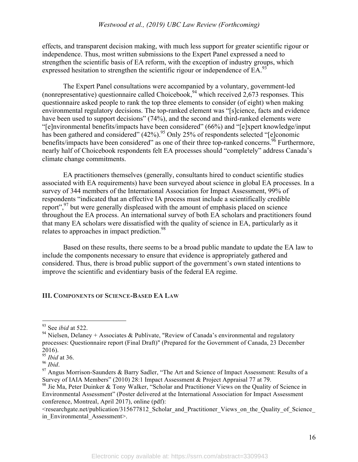effects, and transparent decision making, with much less support for greater scientific rigour or independence. Thus, most written submissions to the Expert Panel expressed a need to strengthen the scientific basis of EA reform, with the exception of industry groups, which expressed hesitation to strengthen the scientific rigour or independence of EA.<sup>9</sup>

The Expert Panel consultations were accompanied by a voluntary, government-led (nonrepresentative) questionnaire called Choicebook,  $94$  which received  $2,673$  responses. This questionnaire asked people to rank the top three elements to consider (of eight) when making environmental regulatory decisions. The top-ranked element was "[s]cience, facts and evidence have been used to support decisions" (74%), and the second and third-ranked elements were "[e]nvironmental benefits/impacts have been considered" (66%) and "[e]xpert knowledge/input has been gathered and considered"  $(42\%)$ .<sup>95</sup> Only 25% of respondents selected "[e]conomic benefits/impacts have been considered" as one of their three top-ranked concerns.<sup>96</sup> Furthermore, nearly half of Choicebook respondents felt EA processes should "completely" address Canada's climate change commitments.

EA practitioners themselves (generally, consultants hired to conduct scientific studies associated with EA requirements) have been surveyed about science in global EA processes. In a survey of 344 members of the International Association for Impact Assessment, 99% of respondents "indicated that an effective IA process must include a scientifically credible report",<sup>97</sup> but were generally displeased with the amount of emphasis placed on science throughout the EA process. An international survey of both EA scholars and practitioners found that many EA scholars were dissatisfied with the quality of science in EA, particularly as it relates to approaches in impact prediction.<sup>98</sup>

Based on these results, there seems to be a broad public mandate to update the EA law to include the components necessary to ensure that evidence is appropriately gathered and considered. Thus, there is broad public support of the government's own stated intentions to improve the scientific and evidentiary basis of the federal EA regime.

# **III. COMPONENTS OF SCIENCE-BASED EA LAW**

 <sup>93</sup> See *ibid* at 522.

<sup>&</sup>lt;sup>94</sup> Nielsen, Delaney + Associates & Publivate, "Review of Canada's environmental and regulatory processes: Questionnaire report (Final Draft)" (Prepared for the Government of Canada, 23 December 2016).

<sup>95</sup> *Ibid* at 36.

<sup>&</sup>lt;sup>97</sup> Angus Morrison-Saunders & Barry Sadler, "The Art and Science of Impact Assessment: Results of a<br>Survey of IAIA Members" (2010) 28:1 Impact Assessment & Project Appraisal 77 at 79.

<sup>&</sup>lt;sup>98</sup> Jie Ma, Peter Duinker & Tony Walker, "Scholar and Practitioner Views on the Quality of Science in Environmental Assessment" (Poster delivered at the International Association for Impact Assessment conference, Montreal, April 2017), online (pdf):

<sup>&</sup>lt;researchgate.net/publication/315677812\_Scholar\_and\_Practitioner\_Views\_on\_the\_Quality\_of\_Science\_ in Environmental Assessment>.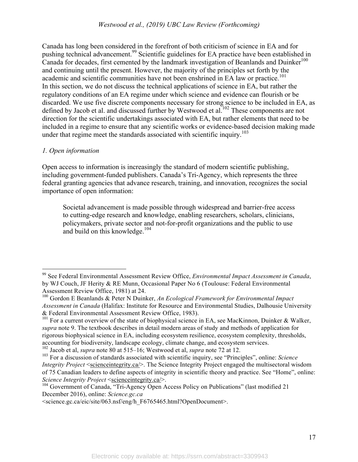Canada has long been considered in the forefront of both criticism of science in EA and for pushing technical advancement.<sup>99</sup> Scientific guidelines for EA practice have been established in Canada for decades, first cemented by the landmark investigation of Beanlands and Duinker<sup>100</sup> and continuing until the present. However, the majority of the principles set forth by the academic and scientific communities have not been enshrined in EA law or practice. 101 In this section, we do not discuss the technical applications of science in EA, but rather the regulatory conditions of an EA regime under which science and evidence can flourish or be discarded. We use five discrete components necessary for strong science to be included in EA, as defined by Jacob et al. and discussed further by Westwood et al.<sup>102</sup> These components are not direction for the scientific undertakings associated with EA, but rather elements that need to be included in a regime to ensure that any scientific works or evidence-based decision making made under that regime meet the standards associated with scientific inquiry.<sup>103</sup>

## *1. Open information*

Open access to information is increasingly the standard of modern scientific publishing, including government-funded publishers. Canada's Tri-Agency, which represents the three federal granting agencies that advance research, training, and innovation, recognizes the social importance of open information:

Societal advancement is made possible through widespread and barrier-free access to cutting-edge research and knowledge, enabling researchers, scholars, clinicians, policymakers, private sector and not-for-profit organizations and the public to use and build on this knowledge.<sup>104</sup>

 <sup>99</sup> See Federal Environmental Assessment Review Office, *Environmental Impact Assessment in Canada*, by WJ Couch, JF Herity & RE Munn, Occasional Paper No 6 (Toulouse: Federal Environmental Assessment Review Office, 1981) at 24.

<sup>&</sup>lt;sup>100</sup> Gordon E Beanlands & Peter N Duinker, *An Ecological Framework for Environmental Impact Assessment in Canada* (Halifax: Institute for Resource and Environmental Studies, Dalhousie University & Federal Environmental Assessment Review Office, 1983).

<sup>&</sup>lt;sup>101</sup> For a current overview of the state of biophysical science in EA, see MacKinnon, Duinker & Walker, *supra* note 9. The textbook describes in detail modern areas of study and methods of application for rigorous biophysical science in EA, including ecosystem resilience, ecosystem complexity, thresholds, accounting for biodiversity, landscape ecology, climate change, and ecosystem services.<br> $102$  Jacob et al, *supra* note 80 at 515–16; Westwood et al, *supra* note 72 at 12.

<sup>&</sup>lt;sup>103</sup> For a discussion of standards associated with scientific inquiry, see "Principles", online: *Science Integrity Project* <scienceintegrity.ca/>. The Science Integrity Project engaged the multisectoral wisdom of 75 Canadian leaders to define aspects of integrity in scientific theory and practice. See "Home", online: *Science Integrity Project* <scienceintegrity.ca/>.

<sup>&</sup>lt;sup>104</sup> Government of Canada, "Tri-Agency Open Access Policy on Publications" (last modified 21 December 2016), online: *Science.gc.ca* 

<sup>&</sup>lt;science.gc.ca/eic/site/063.nsf/eng/h\_F6765465.html?OpenDocument>.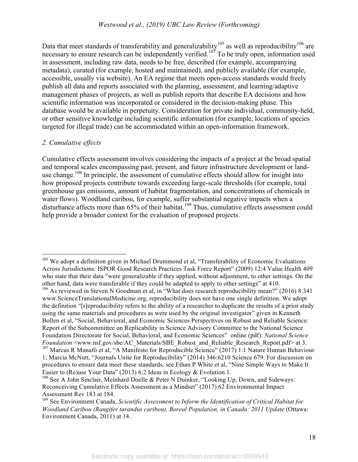Data that meet standards of transferability and generalizability<sup>105</sup> as well as reproducibility<sup>106</sup> are necessary to ensure research can be independently verified.<sup>107</sup> To be truly open, information used in assessment, including raw data, needs to be free, described (for example, accompanying metadata), curated (for example, hosted and maintained), and publicly available (for example, accessible, usually via website). An EA regime that meets open-access standards would freely publish all data and reports associated with the planning, assessment, and learning/adaptive management phases of projects, as well as publish reports that describe EA decisions and how scientific information was incorporated or considered in the decision-making phase. This database would be available in perpetuity. Consideration for private individual, community-held, or other sensitive knowledge including scientific information (for example, locations of species targeted for illegal trade) can be accommodated within an open-information framework.

## *2. Cumulative effects*

Cumulative effects assessment involves considering the impacts of a project at the broad spatial and temporal scales encompassing past, present, and future infrastructure development or landuse change.<sup>108</sup> In principle, the assessment of cumulative effects should allow for insight into how proposed projects contribute towards exceeding large-scale thresholds (for example, total greenhouse gas emissions, amount of habitat fragmentation, and concentrations of chemicals in water flows). Woodland caribou, for example, suffer substantial negative impacts when a disturbance affects more than 65% of their habitat.<sup>109</sup> Thus, cumulative effects assessment could help provide a broader context for the evaluation of proposed projects.

<sup>&</sup>lt;sup>105</sup> We adopt a definition given in Michael Drummond et al, "Transferability of Economic Evaluations Across Jurisdictions: ISPOR Good Research Practices Task Force Report" (2009) 12:4 Value Health 409 who state that their data "were generalizable if they applied, without adjustment, to other settings. On the other hand, data were transferable if they could be adapted to apply to other settings" at 410. 106 As reviewed in Steven N Goodman et al, in "What does research reproducibility mean?" (2016) 8:341

www.ScienceTranslationalMedicine.org, reproducibility does not have one single definition. We adopt the definition "[r]eproducibility refers to the ability of a researcher to duplicate the results of a prior study using the same materials and procedures as were used by the original investigator" given in Kenneth Bollen et al, "Social, Behavioral, and Economic Sciences Perspectives on Robust and Reliable Science: Report of the Subcommittee on Replicability in Science Advisory Committee to the National Science Foundation Directorate for Social, Behavioral, and Economic Sciences" online (pdf): *National Science Foundation* <www.nsf.gov/sbe/AC\_Materials/SBE\_Robust\_and\_Reliable\_Research\_Report.pdf> at 3.

<sup>&</sup>lt;sup>107</sup> Marcus R Munafò et al, "A Manifesto for Reproducible Science" (2017) 1:1 Nature Human Behaviour 1; Marcia McNutt, "Journals Unite for Reproducibility" (2014) 346:6210 Science 679. For discussion on procedures to ensure data meet these standards, see Ethan P White et al, "Nine Simple Ways to Make It Easier to (Re)use Your Data" (2013) 6:2 Ideas in Ecology & Evolution 1.

<sup>&</sup>lt;sup>108</sup> See A John Sinclair, Meinhard Doelle & Peter N Duinker, "Looking Up, Down, and Sideways: Reconceiving Cumulative Effects Assessment as a Mindset" (2017) 62 Environmental Impact Assessment Rev 183 at 184.<br><sup>109</sup> See Environment Canada, *Scientific Assessment to Inform the Identification of Critical Habitat for* 

*Woodland Caribou (Rangifer tarandus caribou), Boreal Population, in Canada: 2011 Update* (Ottawa: Environment Canada, 2011) at 14.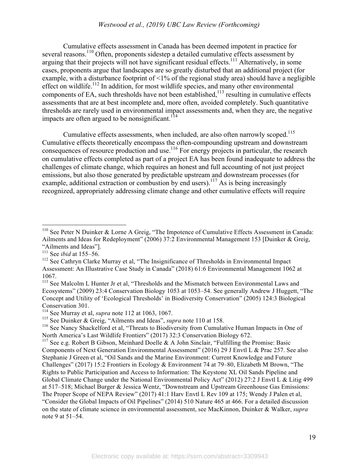# *Westwood et al., (2019) UBC Law Review (Forthcoming)*

Cumulative effects assessment in Canada has been deemed impotent in practice for several reasons.<sup>110</sup> Often, proponents sidestep a detailed cumulative effects assessment by arguing that their projects will not have significant residual effects.<sup>111</sup> Alternatively, in some cases, proponents argue that landscapes are so greatly disturbed that an additional project (for example, with a disturbance footprint of  $\leq 1\%$  of the regional study area) should have a negligible effect on wildlife.<sup>112</sup> In addition, for most wildlife species, and many other environmental components of EA, such thresholds have not been established,  $113$  resulting in cumulative effects assessments that are at best incomplete and, more often, avoided completely. Such quantitative thresholds are rarely used in environmental impact assessments and, when they are, the negative impacts are often argued to be nonsignificant.<sup>114</sup>

Cumulative effects assessments, when included, are also often narrowly scoped.<sup>115</sup> Cumulative effects theoretically encompass the often-compounding upstream and downstream consequences of resource production and use.<sup>116</sup> For energy projects in particular, the research on cumulative effects completed as part of a project EA has been found inadequate to address the challenges of climate change, which requires an honest and full accounting of not just project emissions, but also those generated by predictable upstream and downstream processes (for example, additional extraction or combustion by end users).<sup>117</sup> As is being increasingly recognized, appropriately addressing climate change and other cumulative effects will require

<sup>&</sup>lt;sup>110</sup> See Peter N Duinker & Lorne A Greig, "The Impotence of Cumulative Effects Assessment in Canada: Ailments and Ideas for Redeployment" (2006) 37:2 Environmental Management 153 [Duinker & Greig, "Ailments and Ideas"]. 111 See *ibid* at 155–56.

<sup>&</sup>lt;sup>112</sup> See Cathryn Clarke Murray et al, "The Insignificance of Thresholds in Environmental Impact Assessment: An Illustrative Case Study in Canada" (2018) 61:6 Environmental Management 1062 at 1067.

<sup>&</sup>lt;sup>113</sup> See Malcolm L Hunter Jr et al, "Thresholds and the Mismatch between Environmental Laws and Ecosystems" (2009) 23:4 Conservation Biology 1053 at 1053–54. See generally Andrew J Huggett, "The Concept and Utility of 'Ecological Thresholds' in Biodiversity Conservation" (2005) 124:3 Biological Conservation 301.

<sup>114</sup> See Murray et al, *supra* note 112 at 1063, 1067.

<sup>115</sup> See Duinker & Greig, "Ailments and Ideas", *supra* note 110 at 158.

<sup>&</sup>lt;sup>116</sup> See Nancy Shackelford et al, "Threats to Biodiversity from Cumulative Human Impacts in One of North America's Last Wildlife Frontiers" (2017) 32:3 Conservation Biology 672.

<sup>&</sup>lt;sup>117</sup> See e.g. Robert B Gibson, Meinhard Doelle & A John Sinclair, "Fulfilling the Promise: Basic Components of Next Generation Environmental Assessment" (2016) 29 J Envtl L & Prac 257. See also Stephanie J Green et al, "Oil Sands and the Marine Environment: Current Knowledge and Future Challenges" (2017) 15:2 Frontiers in Ecology & Environment 74 at 79–80, Elizabeth M Brown, "The Rights to Public Participation and Access to Information: The Keystone XL Oil Sands Pipeline and Global Climate Change under the National Environmental Policy Act" (2012) 27:2 J Envtl L & Litig 499 at 517–518; Michael Burger & Jessica Wentz, "Downstream and Upstream Greenhouse Gas Emissions: The Proper Scope of NEPA Review" (2017) 41:1 Harv Envtl L Rev 109 at 175; Wendy J Palen et al, "Consider the Global Impacts of Oil Pipelines" (2014) 510 Nature 465 at 466. For a detailed discussion on the state of climate science in environmental assessment, see MacKinnon, Duinker & Walker, *supra* note 9 at 51–54.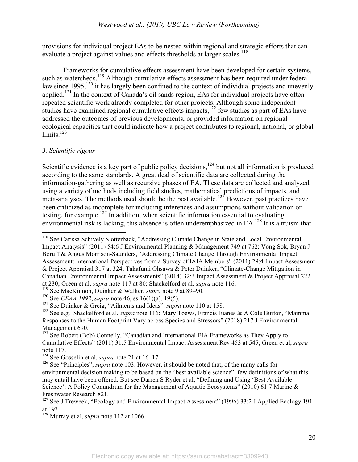provisions for individual project EAs to be nested within regional and strategic efforts that can evaluate a project against values and effects thresholds at larger scales.<sup>118</sup>

Frameworks for cumulative effects assessment have been developed for certain systems, such as watersheds.<sup>119</sup> Although cumulative effects assessment has been required under federal law since 1995,<sup>120</sup> it has largely been confined to the context of individual projects and unevenly applied.<sup>121</sup> In the context of Canada's oil sands region, EAs for individual projects have often repeated scientific work already completed for other projects. Although some independent studies have examined regional cumulative effects impacts,<sup>122</sup> few studies as part of EAs have addressed the outcomes of previous developments, or provided information on regional ecological capacities that could indicate how a project contributes to regional, national, or global limits.<sup>123</sup>

## *3. Scientific rigour*

Scientific evidence is a key part of public policy decisions,<sup>124</sup> but not all information is produced according to the same standards. A great deal of scientific data are collected during the information-gathering as well as recursive phases of EA. These data are collected and analyzed using a variety of methods including field studies, mathematical predictions of impacts, and meta-analyses. The methods used should be the best available.<sup>126</sup> However, past practices have been criticized as incomplete for including inferences and assumptions without validation or testing, for example. <sup>127</sup> In addition, when scientific information essential to evaluating environmental risk is lacking, this absence is often underemphasized in EA.<sup>128</sup> It is a truism that

 <sup>118</sup> See Carissa Schively Slotterback, "Addressing Climate Change in State and Local Environmental Impact Analysis" (2011) 54:6 J Environmental Planning & Management 749 at 762; Vong Sok, Bryan J Boruff & Angus Morrison-Saunders, "Addressing Climate Change Through Environmental Impact Assessment: International Perspectives from a Survey of IAIA Members" (2011) 29:4 Impact Assessment & Project Appraisal 317 at 324; Takafumi Ohsawa & Peter Duinker, "Climate-Change Mitigation in Canadian Environmental Impact Assessments" (2014) 32:3 Impact Assessment & Project Appraisal 222 at 230; Green et al, *supra* note 117 at 80; Shackelford et al, *supra* note 116.<br><sup>119</sup> See MacKinnon, Duinker & Walker, *supra* note 9 at 89–90.<br><sup>120</sup> See *CEAA 1992*, *supra* note 46, ss 16(1)(a), 19(5).

<sup>121</sup> See Duinker & Greig, "Ailments and Ideas", *supra* note 110 at 158.

<sup>122</sup> See e.g. Shackelford et al, *supra* note 116; Mary Toews, Francis Juanes & A Cole Burton, "Mammal Responses to the Human Footprint Vary across Species and Stressors" (2018) 217 J Environmental Management 690.

<sup>&</sup>lt;sup>123</sup> See Robert (Bob) Connelly, "Canadian and International EIA Frameworks as They Apply to Cumulative Effects" (2011) 31:5 Environmental Impact Assessment Rev 453 at 545; Green et al, *supra*  note 117.<br><sup>124</sup> See Gosselin et al, *supra* note 21 at 16–17.

<sup>&</sup>lt;sup>126</sup> See "Principles", *supra* note 103. However, it should be noted that, of the many calls for environmental decision making to be based on the "best available science", few definitions of what this may entail have been offered. But see Darren S Ryder et al, "Defining and Using 'Best Available Science': A Policy Conundrum for the Management of Aquatic Ecosystems" (2010) 61:7 Marine & Freshwater Research 821.

<sup>&</sup>lt;sup>127</sup> See J Treweek, "Ecology and Environmental Impact Assessment" (1996) 33:2 J Applied Ecology 191 at 193.

<sup>128</sup> Murray et al, *supra* note 112 at 1066.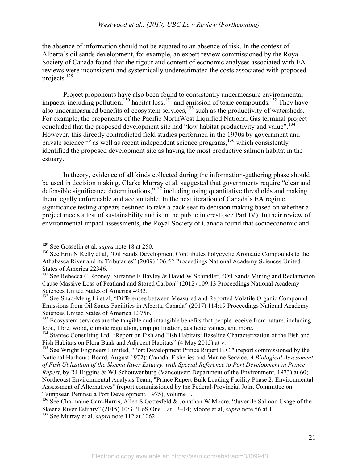#### *Westwood et al., (2019) UBC Law Review (Forthcoming)*

the absence of information should not be equated to an absence of risk. In the context of Alberta's oil sands development, for example, an expert review commissioned by the Royal Society of Canada found that the rigour and content of economic analyses associated with EA reviews were inconsistent and systemically underestimated the costs associated with proposed projects.<sup>129</sup>

Project proponents have also been found to consistently undermeasure environmental impacts, including pollution,<sup>130</sup> habitat loss,<sup>131</sup> and emission of toxic compounds.<sup>132</sup> They have also undermeasured benefits of ecosystem services, $133$  such as the productivity of watersheds. For example, the proponents of the Pacific NorthWest Liquified National Gas terminal project concluded that the proposed development site had "low habitat productivity and value".<sup>134</sup> However, this directly contradicted field studies performed in the 1970s by government and private science<sup>135</sup> as well as recent independent science programs,<sup>136</sup> which consistently identified the proposed development site as having the most productive salmon habitat in the estuary.

In theory, evidence of all kinds collected during the information-gathering phase should be used in decision making. Clarke Murray et al. suggested that governments require "clear and defensible significance determinations,"<sup>137</sup> including using quantitative thresholds and making them legally enforceable and accountable. In the next iteration of Canada's EA regime, significance testing appears destined to take a back seat to decision making based on whether a project meets a test of sustainability and is in the public interest (see Part IV). In their review of environmental impact assessments, the Royal Society of Canada found that socioeconomic and

<sup>&</sup>lt;sup>129</sup> See Gosselin et al, *supra* note 18 at 250.<br><sup>130</sup> See Erin N Kelly et al, "Oil Sands Development Contributes Polycyclic Aromatic Compounds to the Athabasca River and its Tributaries" (2009) 106:52 Proceedings National Academy Sciences United States of America 22346.

<sup>&</sup>lt;sup>131</sup> See Rebecca C Rooney, Suzanne E Bayley & David W Schindler, "Oil Sands Mining and Reclamation Cause Massive Loss of Peatland and Stored Carbon" (2012) 109:13 Proceedings National Academy Sciences United States of America 4933.

<sup>&</sup>lt;sup>132</sup> See Shao-Meng Li et al, "Differences between Measured and Reported Volatile Organic Compound Emissions from Oil Sands Facilities in Alberta, Canada" (2017) 114:19 Proceedings National Academy Sciences United States of America E3756.

 $133$  Ecosystem services are the tangible and intangible benefits that people receive from nature, including food, fibre, wood, climate regulation, crop pollination, aesthetic values, and more.

<sup>&</sup>lt;sup>134</sup> Stantec Consulting Ltd, "Report on Fish and Fish Habitats: Baseline Characterization of the Fish and Fish Habitats on Flora Bank and Adjacent Habitats" (4 May 2015) at v.

<sup>&</sup>lt;sup>135</sup> See Wright Engineers Limited, "Port Development Prince Rupert B.C." (report commissioned by the National Harbours Board, August 1972); Canada, Fisheries and Marine Service, *A Biological Assessment of Fish Utilization of the Skeena River Estuary, with Special Reference to Port Development in Prince Rupert*, by RJ Higgins & WJ Schouwenburg (Vancouver: Department of the Environment, 1973) at 60; Northcoast Environmental Analysis Team, "Prince Rupert Bulk Loading Facility Phase 2: Environmental Assessment of Alternatives" (report commissioned by the Federal-Provincial Joint Committee on Tsimpsean Peninsula Port Development, 1975), volume 1.<br><sup>136</sup> See Charmaine Carr-Harris, Allen S Gottesfeld & Jonathan W Moore, "Juvenile Salmon Usage of the

Skeena River Estuary" (2015) 10:3 PLoS One 1 at 13–14; Moore et al, *supra* note 56 at 1.

<sup>137</sup> See Murray et al, *supra* note 112 at 1062.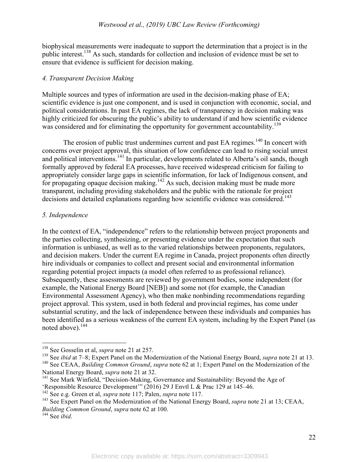biophysical measurements were inadequate to support the determination that a project is in the public interest.138 As such, standards for collection and inclusion of evidence must be set to ensure that evidence is sufficient for decision making.

# *4. Transparent Decision Making*

Multiple sources and types of information are used in the decision-making phase of EA; scientific evidence is just one component, and is used in conjunction with economic, social, and political considerations. In past EA regimes, the lack of transparency in decision making was highly criticized for obscuring the public's ability to understand if and how scientific evidence was considered and for eliminating the opportunity for government accountability.<sup>139</sup>

The erosion of public trust undermines current and past EA regimes.<sup>140</sup> In concert with concerns over project approval, this situation of low confidence can lead to rising social unrest and political interventions.<sup>141</sup> In particular, developments related to Alberta's oil sands, though formally approved by federal EA processes, have received widespread criticism for failing to appropriately consider large gaps in scientific information, for lack of Indigenous consent, and for propagating opaque decision making.<sup>142</sup> As such, decision making must be made more transparent, including providing stakeholders and the public with the rationale for project decisions and detailed explanations regarding how scientific evidence was considered.<sup>143</sup>

## *5. Independence*

In the context of EA, "independence" refers to the relationship between project proponents and the parties collecting, synthesizing, or presenting evidence under the expectation that such information is unbiased, as well as to the varied relationships between proponents, regulators, and decision makers. Under the current EA regime in Canada, project proponents often directly hire individuals or companies to collect and present social and environmental information regarding potential project impacts (a model often referred to as professional reliance). Subsequently, these assessments are reviewed by government bodies, some independent (for example, the National Energy Board [NEB]) and some not (for example, the Canadian Environmental Assessment Agency), who then make nonbinding recommendations regarding project approval. This system, used in both federal and provincial regimes, has come under substantial scrutiny, and the lack of independence between these individuals and companies has been identified as a serious weakness of the current EA system, including by the Expert Panel (as noted above).<sup>144</sup>

<sup>&</sup>lt;sup>138</sup> See Gosselin et al, *supra* note 21 at 257.<br><sup>139</sup> See *ibid* at 7–8; Expert Panel on the Modernization of the National Energy Board, *supra* note 21 at 13.

<sup>140</sup> See CEAA, *Building Common Ground*, *supra* note 62 at 1; Expert Panel on the Modernization of the National Energy Board, *supra* note 21 at 32.

<sup>&</sup>lt;sup>141</sup> See Mark Winfield, "Decision-Making, Governance and Sustainability: Beyond the Age of 'Responsible Resource Development'" (2016) 29 J Envtl L & Prac 129 at 145–46.<br><sup>142</sup> See e.g. Green et al, *supra* note 117; Palen, *supra* note 117.

<sup>&</sup>lt;sup>143</sup> See Expert Panel on the Modernization of the National Energy Board, *supra* note 21 at 13; CEAA, *Building Common Ground*, *supra* note 62 at 100.

<sup>144</sup> See *ibid*.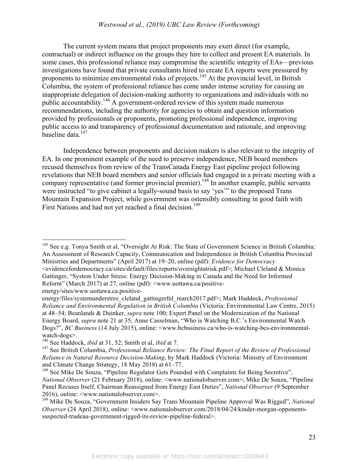#### *Westwood et al., (2019) UBC Law Review (Forthcoming)*

The current system means that project proponents may exert direct (for example, contractual) or indirect influence on the groups they hire to collect and present EA materials. In some cases, this professional reliance may compromise the scientific integrity of EAs—previous investigations have found that private consultants hired to create EA reports were pressured by proponents to minimize environmental risks of projects.<sup>145</sup> At the provincial level, in British Columbia, the system of professional reliance has come under intense scrutiny for causing an inappropriate delegation of decision-making authority to organizations and individuals with no public accountability.146 A government-ordered review of this system made numerous recommendations, including the authority for agencies to obtain and question information provided by professionals or proponents, promoting professional independence, improving public access to and transparency of professional documentation and rationale, and improving baseline data.<sup>147</sup>

Independence between proponents and decision makers is also relevant to the integrity of EA. In one prominent example of the need to preserve independence, NEB board members recused themselves from review of the TransCanada Energy East pipeline project following revelations that NEB board members and senior officials had engaged in a private meeting with a company representative (and former provincial premier).<sup>148</sup> In another example, public servants were instructed "to give cabinet a legally-sound basis to say 'yes'" to the proposed Trans Mountain Expansion Project, while government was ostensibly consulting in good faith with First Nations and had not yet reached a final decision.<sup>149</sup>

energy/sites/www.uottawa.ca.positive-

<sup>&</sup>lt;sup>145</sup> See e.g. Tonya Smith et al, "Oversight At Risk: The State of Government Science in British Columbia; An Assessment of Research Capacity, Communication and Independence in British Columbia Provincial Ministries and Departments" (April 2017) at 19–20, online (pdf): *Evidence for Democracy* 

<sup>&</sup>lt;evidencefordemocracy.ca/sites/default/files/reports/oversightatrisk.pdf>; Michael Cleland & Monica Gattinger, "System Under Stress: Energy Decision-Making in Canada and the Need for Informed Reform" (March 2017) at 27, online (pdf): <www.uottawa.ca/positive-

energy/files/systemunderstres\_cleland\_gattingerfnl\_march2017.pdf>; Mark Haddock, *Professional Reliance and Environmental Regulation in British Columbia* (Victoria: Environmental Law Centre, 2015) at 48–54; Beanlands & Duinker, *supra* note 100; Expert Panel on the Modernization of the National Energy Board, *supra* note 21 at 35; Anne Casselman, "Who is Watching B.C.'s Environmental Watch Dogs?", *BC Business* (14 July 2015), online: <www.bcbusiness.ca/who-is-watching-bcs-environmentalwatch-dogs>.

<sup>146</sup> See Haddock, *ibid* at 31, 52; Smith et al, *ibid* at 7.

<sup>147</sup> See British Columbia, *Professional Reliance Review: The Final Report of the Review of Professional Reliance in Natural Resource Decision-Making*, by Mark Haddock (Victoria: Ministry of Environment and Climate Change Strategy, 18 May 2018) at 61–77.

<sup>&</sup>lt;sup>148</sup> See Mike De Souza, "Pipeline Regulator Gets Pounded with Complaints for Being Secretive", *National Observer* (21 February 2018), online: <www.nationalobserver.com>; Mike De Souza, "Pipeline Panel Recuses Itself, Chairman Reassigned from Energy East Duties", *National Observer* (9 September 2016), online: <www.nationalobserver.com>.

<sup>149</sup> Mike De Souza, "Government Insiders Say Trans Mountain Pipeline Approval Was Rigged", *National Observer* (24 April 2018), online: <www.nationalobserver.com/2018/04/24/kinder-morgan-opponentssuspected-trudeau-government-rigged-its-review-pipeline-federal>.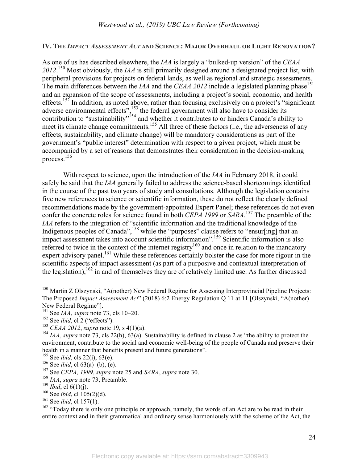### **IV. THE** *IMPACT ASSESSMENT ACT* **AND SCIENCE: MAJOR OVERHAUL OR LIGHT RENOVATION?**

As one of us has described elsewhere, the *IAA* is largely a "bulked-up version" of the *CEAA 2012*. <sup>150</sup> Most obviously, the *IAA* is still primarily designed around a designated project list, with peripheral provisions for projects on federal lands, as well as regional and strategic assessments. The main differences between the *IAA* and the *CEAA 2012* include a legislated planning phase<sup>151</sup> and an expansion of the scope of assessments, including a project's social, economic, and health effects.<sup>152</sup> In addition, as noted above, rather than focusing exclusively on a project's "significant" adverse environmental effects",<sup>153</sup> the federal government will also have to consider its contribution to "sustainability"<sup>154</sup> and whether it contributes to or hinders Canada's ability to meet its climate change commitments.<sup>155</sup> All three of these factors (i.e., the adverseness of any effects, sustainability, and climate change) will be mandatory considerations as part of the government's "public interest" determination with respect to a given project, which must be accompanied by a set of reasons that demonstrates their consideration in the decision-making process.156

With respect to science, upon the introduction of the *IAA* in February 2018, it could safely be said that the *IAA* generally failed to address the science-based shortcomings identified in the course of the past two years of study and consultations. Although the legislation contains five new references to science or scientific information, these do not reflect the clearly defined recommendations made by the government-appointed Expert Panel; these references do not even confer the concrete roles for science found in both *CEPA 1999* or *SARA*. 157 The preamble of the *IAA* refers to the integration of "scientific information and the traditional knowledge of the Indigenous peoples of Canada",<sup>158</sup> while the "purposes" clause refers to "ensur[ing] that an impact assessment takes into account scientific information". 159 Scientific information is also referred to twice in the context of the internet registry<sup>160</sup> and once in relation to the mandatory expert advisory panel.<sup>161</sup> While these references certainly bolster the case for more rigour in the scientific aspects of impact assessment (as part of a purposive and contextual interpretation of the legislation),  $^{162}$  in and of themselves they are of relatively limited use. As further discussed

<sup>&</sup>lt;sup>150</sup> Martin Z Olszynski, "A(nother) New Federal Regime for Assessing Interprovincial Pipeline Projects: The Proposed *Impact Assessment Act*" (2018) 6:2 Energy Regulation Q 11 at 11 [Olszynski, "A(nother) New Federal Regime"].

<sup>151</sup> See *IAA*, *supra* note 73, cls 10–20.

<sup>&</sup>lt;sup>152</sup> See *ibid*, cl 2 ("effects").

<sup>153</sup> *CEAA 2012*, *supra* note 19, s 4(1)(a).

<sup>154</sup> *IAA*, *supra* note 73, cls 22(h), 63(a). Sustainability is defined in clause 2 as "the ability to protect the environment, contribute to the social and economic well-being of the people of Canada and preserve their health in a manner that benefits present and future generations". 155 See *ibid*, cls 22(i), 63(e).

<sup>156</sup> See *ibid*, cl 63(a)–(b), (e).

<sup>157</sup> See *CEPA, 1999*, *supra* note <sup>25</sup> and *SARA*, *supra* note 30. 158 *IAA*, *supra* note 73, Preamble.

<sup>&</sup>lt;sup>159</sup> *Ibid*, cl  $6(1)(j)$ .

<sup>160</sup> See *ibid*, cl 105(2)(d).

<sup>161</sup> See *ibid*, cl 157(1).

 $162$  "Today there is only one principle or approach, namely, the words of an Act are to be read in their entire context and in their grammatical and ordinary sense harmoniously with the scheme of the Act, the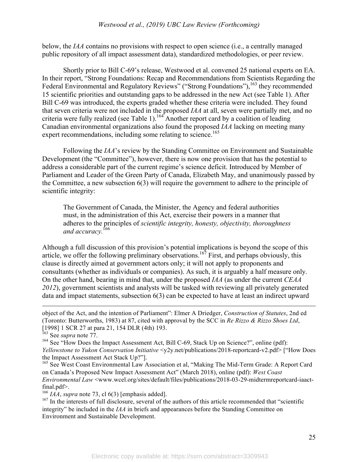below, the *IAA* contains no provisions with respect to open science (i.e., a centrally managed public repository of all impact assessment data), standardized methodologies, or peer review.

Shortly prior to Bill C-69's release, Westwood et al. convened 25 national experts on EA. In their report, "Strong Foundations: Recap and Recommendations from Scientists Regarding the Federal Environmental and Regulatory Reviews" ("Strong Foundations"), <sup>163</sup> they recommended 15 scientific priorities and outstanding gaps to be addressed in the new Act (see Table 1). After Bill C-69 was introduced, the experts graded whether these criteria were included. They found that seven criteria were not included in the proposed *IAA* at all, seven were partially met, and no criteria were fully realized (see Table 1).<sup>164</sup> Another report card by a coalition of leading Canadian environmental organizations also found the proposed *IAA* lacking on meeting many expert recommendations, including some relating to science.<sup>165</sup>

Following the *IAA*'s review by the Standing Committee on Environment and Sustainable Development (the "Committee"), however, there is now one provision that has the potential to address a considerable part of the current regime's science deficit. Introduced by Member of Parliament and Leader of the Green Party of Canada, Elizabeth May, and unanimously passed by the Committee, a new subsection 6(3) will require the government to adhere to the principle of scientific integrity:

The Government of Canada, the Minister, the Agency and federal authorities must, in the administration of this Act, exercise their powers in a manner that adheres to the principles of *scientific integrity, honesty, objectivity, thoroughness*  and accuracy.<sup>166</sup>

Although a full discussion of this provision's potential implications is beyond the scope of this article, we offer the following preliminary observations.<sup>167</sup> First, and perhaps obviously, this clause is directly aimed at government actors only; it will not apply to proponents and consultants (whether as individuals or companies). As such, it is arguably a half measure only. On the other hand, bearing in mind that, under the proposed *IAA* (as under the current *CEAA 2012*), government scientists and analysts will be tasked with reviewing all privately generated data and impact statements, subsection 6(3) can be expected to have at least an indirect upward

 $\overline{a}$ 

<sup>165</sup> See West Coast Environmental Law Association et al, "Making The Mid-Term Grade: A Report Card on Canada's Proposed New Impact Assessment Act" (March 2018), online (pdf): *West Coast Environmental Law* <www.wcel.org/sites/default/files/publications/2018-03-29-midtermreportcard-iaactfinal.pdf>.

 $166$  *IAA*, *supra* note 73, cl 6(3) [emphasis added].

<sup>167</sup> In the interests of full disclosure, several of the authors of this article recommended that "scientific integrity" be included in the *IAA* in briefs and appearances before the Standing Committee on Environment and Sustainable Development.

object of the Act, and the intention of Parliament": Elmer A Driedger, *Construction of Statutes*, 2nd ed (Toronto: Butterworths, 1983) at 87, cited with approval by the SCC in *Re Rizzo & Rizzo Shoes Ltd*, [1998] 1 SCR 27 at para 21, 154 DLR (4th) 193.

<sup>163</sup> See *supra* note 77.

<sup>&</sup>lt;sup>164</sup> See "How Does the Impact Assessment Act, Bill C-69, Stack Up on Science?", online (pdf): *Yellowstone to Yukon Conservation Initiative*  $\langle \gamma 2y \rangle$  net/publications/2018-reportcard-v2.pdf> ["How Does"] the Impact Assessment Act Stack Up?"].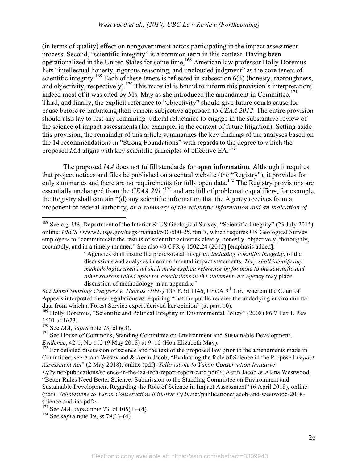(in terms of quality) effect on nongovernment actors participating in the impact assessment process. Second, "scientific integrity" is a common term in this context. Having been operationalized in the United States for some time,<sup>168</sup> American law professor Holly Doremus lists "intellectual honesty, rigorous reasoning, and unclouded judgment" as the core tenets of scientific integrity.<sup>169</sup> Each of these tenets is reflected in subsection  $6(3)$  (honesty, thoroughness, and objectivity, respectively).<sup>170</sup> This material is bound to inform this provision's interpretation; indeed most of it was cited by Ms. May as she introduced the amendment in Committee. 171 Third, and finally, the explicit reference to "objectivity" should give future courts cause for pause before re-embracing their current subjective approach to *CEAA 2012*. The entire provision should also lay to rest any remaining judicial reluctance to engage in the substantive review of the science of impact assessments (for example, in the context of future litigation). Setting aside this provision, the remainder of this article summarizes the key findings of the analyses based on the 14 recommendations in "Strong Foundations" with regards to the degree to which the proposed *IAA* aligns with key scientific principles of effective EA.<sup>172</sup>

The proposed *IAA* does not fulfill standards for **open information***.* Although it requires that project notices and files be published on a central website (the "Registry"), it provides for only summaries and there are no requirements for fully open data.<sup>173</sup> The Registry provisions are essentially unchanged from the *CEAA 2012*174 and are full of problematic qualifiers, for example, the Registry shall contain "(d) any scientific information that the Agency receives from a proponent or federal authority, *or a summary of the scientific information and an indication of* 

See *Idaho Sporting Congress v. Thomas (1997)* 137 F.3d 1146, USCA 9<sup>th</sup> Cir., wherein the Court of Appeals interpreted these regulations as requiring "that the public receive the underlying environmental data from which a Forest Service expert derived her opinion" (at para 10).

<sup>169</sup> Holly Doremus, "Scientific and Political Integrity in Environmental Policy" (2008) 86:7 Tex L Rev 1601 at 1623.

<sup>&</sup>lt;sup>168</sup> See e.g. US, Department of the Interior & US Geological Survey, "Scientific Integrity" (23 July 2015), online: *USGS* <www2.usgs.gov/usgs-manual/500/500-25.html>, which requires US Geological Survey employees to "communicate the results of scientific activities clearly, honestly, objectively, thoroughly, accurately, and in a timely manner." See also 40 CFR § 1502.24 (2012) [emphasis added]:

<sup>&</sup>quot;Agencies shall insure the professional integrity, *including scientific integrity*, of the discussions and analyses in environmental impact statements. *They shall identify any methodologies used and shall make explicit reference by footnote to the scientific and other sources relied upon for conclusions in the statement*. An agency may place discussion of methodology in an appendix."

<sup>170</sup> See *IAA*, *supra* note 73, cl 6(3).

<sup>&</sup>lt;sup>171</sup> See House of Commons, Standing Committee on Environment and Sustainable Development, *Evidence*, 42-1, No 112 (9 May 2018) at 9–10 (Hon Elizabeth May).

 $172$  For detailed discussion of science and the text of the proposed law prior to the amendments made in Committee, see Alana Westwood & Aerin Jacob, "Evaluating the Role of Science in the Proposed *Impact Assessment Act*" (2 May 2018), online (pdf): *Yellowstone to Yukon Conservation Initiative*  <y2y.net/publications/science-in-the-iaa-tech-report-report-card.pdf/>; Aerin Jacob & Alana Westwood, "Better Rules Need Better Science: Submission to the Standing Committee on Environment and Sustainable Development Regarding the Role of Science in Impact Assessment" (6 April 2018), online (pdf): *Yellowstone to Yukon Conservation Initiative* <y2y.net/publications/jacob-and-westwood-2018 science-and-iaa.pdf>.

<sup>173</sup> See *IAA*, *supra* note 73, cl 105(1)–(4).

<sup>174</sup> See *supra* note 19, ss 79(1)–(4).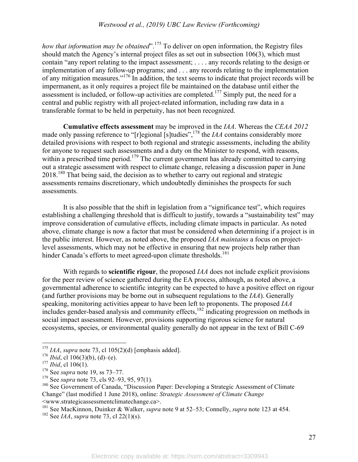*how that information may be obtained*". 175 To deliver on open information, the Registry files should match the Agency's internal project files as set out in subsection 106(3), which must contain "any report relating to the impact assessment; . . . . any records relating to the design or implementation of any follow-up programs; and . . . any records relating to the implementation of any mitigation measures." 176 In addition, the text seems to indicate that project records will be impermanent, as it only requires a project file be maintained on the database until either the assessment is included, or follow-up activities are completed.<sup>177</sup> Simply put, the need for a central and public registry with all project-related information, including raw data in a transferable format to be held in perpetuity, has not been recognized.

**Cumulative effects assessment** may be improved in the *IAA*. Whereas the *CEAA 2012* made only passing reference to "[r]egional [s]tudies", 178 the *IAA* contains considerably more detailed provisions with respect to both regional and strategic assessments, including the ability for anyone to request such assessments and a duty on the Minister to respond, with reasons, within a prescribed time period.<sup>179</sup> The current government has already committed to carrying out a strategic assessment with respect to climate change, releasing a discussion paper in June 2018. <sup>180</sup> That being said, the decision as to whether to carry out regional and strategic assessments remains discretionary, which undoubtedly diminishes the prospects for such assessments.

It is also possible that the shift in legislation from a "significance test", which requires establishing a challenging threshold that is difficult to justify, towards a "sustainability test" may improve consideration of cumulative effects, including climate impacts in particular. As noted above, climate change is now a factor that must be considered when determining if a project is in the public interest. However, as noted above, the proposed *IAA maintains* a focus on projectlevel assessments, which may not be effective in ensuring that new projects help rather than hinder Canada's efforts to meet agreed-upon climate thresholds.<sup>181</sup>

With regards to **scientific rigour**, the proposed *IAA* does not include explicit provisions for the peer review of science gathered during the EA process, although, as noted above, a governmental adherence to scientific integrity can be expected to have a positive effect on rigour (and further provisions may be borne out in subsequent regulations to the *IAA*). Generally speaking, monitoring activities appear to have been left to proponents. The proposed *IAA*  includes gender-based analysis and community effects,  $182 \frac{1}{10}$  indicating progression on methods in social impact assessment. However, provisions supporting rigorous science for natural ecosystems, species, or environmental quality generally do not appear in the text of Bill C-69

<sup>181</sup> See MacKinnon, Duinker & Walker, *supra* note 9 at 52–53; Connelly, *supra* note 123 at 454.

 <sup>175</sup> *IAA*, *supra* note 73, cl 105(2)(d) [emphasis added].

 $176$  *Ibid*, cl 106(3)(b), (d)–(e).

<sup>177</sup> *Ibid*, cl 106(1).

<sup>178</sup> See *supra* note 19, ss 73–77.

<sup>179</sup> See *supra* note 73, cls 92–93, 95, 97(1).

<sup>&</sup>lt;sup>180</sup> See Government of Canada, "Discussion Paper: Developing a Strategic Assessment of Climate Change" (last modified 1 June 2018), online: *Strategic Assessment of Climate Change*  <www.strategicassessmentclimatechange.ca>.

<sup>182</sup> See *IAA*, *supra* note 73, cl 22(1)(s).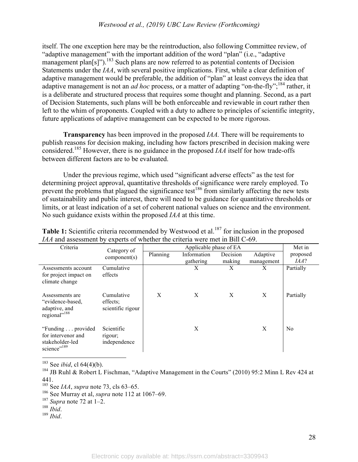itself. The one exception here may be the reintroduction, also following Committee review, of "adaptive management" with the important addition of the word "plan" (i.e., "adaptive management plan[s]").<sup>183</sup> Such plans are now referred to as potential contents of Decision Statements under the *IAA*, with several positive implications. First, while a clear definition of adaptive management would be preferable, the addition of "plan" at least conveys the idea that adaptive management is not an *ad hoc* process, or a matter of adapting "on-the-fly";<sup>184</sup> rather, it is a deliberate and structured process that requires some thought and planning. Second, as a part of Decision Statements, such plans will be both enforceable and reviewable in court rather then left to the whim of proponents. Coupled with a duty to adhere to principles of scientific integrity, future applications of adaptive management can be expected to be more rigorous.

**Transparency** has been improved in the proposed *IAA.* There will be requirements to publish reasons for decision making, including how factors prescribed in decision making were considered.<sup>185</sup> However, there is no guidance in the proposed *IAA* itself for how trade-offs between different factors are to be evaluated.

Under the previous regime, which used "significant adverse effects" as the test for determining project approval, quantitative thresholds of significance were rarely employed. To prevent the problems that plagued the significance test<sup>186</sup> from similarly affecting the new tests of sustainability and public interest, there will need to be guidance for quantitative thresholds or limits, or at least indication of a set of coherent national values on science and the environment. No such guidance exists within the proposed *IAA* at this time.

| Criteria                                                                               | Category of                                 |   | Met in                   |                    |                        |                  |
|----------------------------------------------------------------------------------------|---------------------------------------------|---|--------------------------|--------------------|------------------------|------------------|
|                                                                                        | component(s)                                |   | Information<br>gathering | Decision<br>making | Adaptive<br>management | proposed<br>IAA? |
| Assessments account<br>for project impact on<br>climate change                         | Cumulative<br>effects                       |   | X                        | X                  | X                      | Partially        |
| Assessments are<br>"evidence-based.<br>adaptive, and<br>regional" <sup>188</sup>       | Cumulative<br>effects;<br>scientific rigour | X | X                        | X                  | X                      | Partially        |
| "Funding provided"<br>for intervenor and<br>stakeholder-led<br>science" <sup>189</sup> | Scientific<br>rigour;<br>independence       |   | X                        |                    | X                      | No               |

Table 1: Scientific criteria recommended by Westwood et al.<sup>187</sup> for inclusion in the proposed *IAA* and assessment by experts of whether the criteria were met in Bill C-69.

183 See *ibid*, cl 64(4)(b).

<sup>184</sup> JB Ruhl & Robert L Fischman, "Adaptive Management in the Courts" (2010) 95:2 Minn L Rev 424 at 441.

185 See *IAA*, *supra* note 73, cls 63–65.

<sup>188</sup> *Ibid*. <sup>189</sup> *Ibid*.

<sup>186</sup> See Murray et al, *supra* note 112 at 1067–69. <sup>187</sup> *Supra* note 72 at 1–2.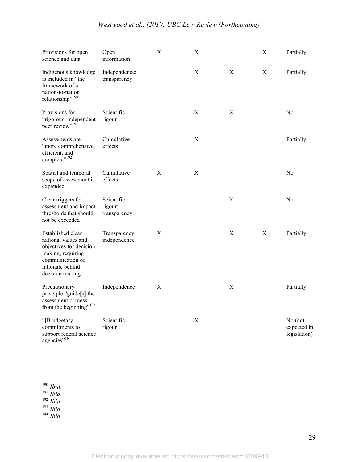# *Westwood et al., (2019) UBC Law Review (Forthcoming)*

| Provisions for open<br>science and data                                                                                                             | Open<br>information                   | $\mathbf X$      | $\mathbf X$ |             | $\mathbf X$ | Partially                              |
|-----------------------------------------------------------------------------------------------------------------------------------------------------|---------------------------------------|------------------|-------------|-------------|-------------|----------------------------------------|
| Indigenous knowledge<br>is included in "the<br>framework of a<br>nation-to-nation<br>relationship" <sup>190</sup>                                   | Independence;<br>transparency         |                  | X           | X           | X           | Partially                              |
| Provisions for<br>"rigorous, independent<br>peer review" <sup>191</sup>                                                                             | Scientific<br>rigour                  |                  | X           | X           |             | No                                     |
| Assessments are<br>"more comprehensive,<br>efficient, and<br>complete" <sup>192</sup>                                                               | Cumulative<br>effects                 |                  | $\mathbf X$ |             |             | Partially                              |
| Spatial and temporal<br>scope of assessment is<br>expanded                                                                                          | Cumulative<br>effects                 | X                | X           |             |             | N <sub>0</sub>                         |
| Clear triggers for<br>assessment and impact<br>thresholds that should<br>not be exceeded                                                            | Scientific<br>rigour;<br>transparency |                  |             | $\mathbf X$ |             | No                                     |
| Established clear<br>national values and<br>objectives for decision<br>making, requiring<br>communication of<br>rationale behind<br>decision making | Transparency;<br>independence         | X                |             | X           | $\mathbf X$ | Partially                              |
| Precautionary<br>principle "guide[s] the<br>assessment process<br>from the beginning" <sup>193</sup>                                                | Independence                          | $\boldsymbol{X}$ |             | $\mathbf X$ |             | Partially                              |
| "[B]udgetary<br>commitments to<br>support federal science<br>agencies" <sup>194</sup>                                                               | Scientific<br>rigour                  |                  | $\mathbf X$ |             |             | No (not<br>expected in<br>legislation) |

190 *Ibid*. 191 *Ibid*. 192 *Ibid*. 193 *Ibid*. 194 *Ibid*.

29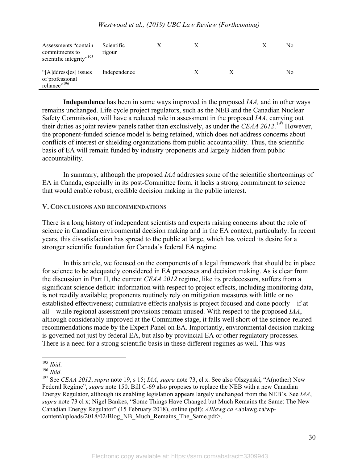| Assessments "contain"<br>commitments to<br>scientific integrity" <sup>195</sup> | Scientific<br>rigour |  |  | No             |
|---------------------------------------------------------------------------------|----------------------|--|--|----------------|
| "[A]ddress[es] issues<br>of professional<br>reliance" <sup>196</sup>            | Independence         |  |  | N <sub>0</sub> |

**Independence** has been in some ways improved in the proposed *IAA,* and in other ways remains unchanged. Life cycle project regulators, such as the NEB and the Canadian Nuclear Safety Commission, will have a reduced role in assessment in the proposed *IAA*, carrying out their duties as joint review panels rather than exclusively, as under the *CEAA 2012*. <sup>197</sup> However, the proponent-funded science model is being retained, which does not address concerns about conflicts of interest or shielding organizations from public accountability. Thus, the scientific basis of EA will remain funded by industry proponents and largely hidden from public accountability.

In summary, although the proposed *IAA* addresses some of the scientific shortcomings of EA in Canada, especially in its post-Committee form, it lacks a strong commitment to science that would enable robust, credible decision making in the public interest.

### **V. CONCLUSIONS AND RECOMMENDATIONS**

There is a long history of independent scientists and experts raising concerns about the role of science in Canadian environmental decision making and in the EA context, particularly. In recent years, this dissatisfaction has spread to the public at large, which has voiced its desire for a stronger scientific foundation for Canada's federal EA regime.

In this article, we focused on the components of a legal framework that should be in place for science to be adequately considered in EA processes and decision making. As is clear from the discussion in Part II, the current *CEAA 2012* regime, like its predecessors, suffers from a significant science deficit: information with respect to project effects, including monitoring data, is not readily available; proponents routinely rely on mitigation measures with little or no established effectiveness; cumulative effects analysis is project focused and done poorly—if at all—while regional assessment provisions remain unused. With respect to the proposed *IAA*, although considerably improved at the Committee stage, it falls well short of the science-related recommendations made by the Expert Panel on EA. Importantly, environmental decision making is governed not just by federal EA, but also by provincial EA or other regulatory processes. There is a need for a strong scientific basis in these different regimes as well. This was

<sup>195</sup> *Ibid*. <sup>196</sup> *Ibid*. 197 See *CEAA 2012*, *supra* note 19, s 15; *IAA*, *supra* note 73, cl x. See also Olszynski, "A(nother) New Federal Regime", *supra* note 150. Bill C-69 also proposes to replace the NEB with a new Canadian Energy Regulator, although its enabling legislation appears largely unchanged from the NEB's. See *IAA*, *supra* note 73 cl x; Nigel Bankes, "Some Things Have Changed but Much Remains the Same: The New Canadian Energy Regulator" (15 February 2018), online (pdf): *ABlawg.ca* <ablawg.ca/wpcontent/uploads/2018/02/Blog\_NB\_Much\_Remains\_The\_Same.pdf>.